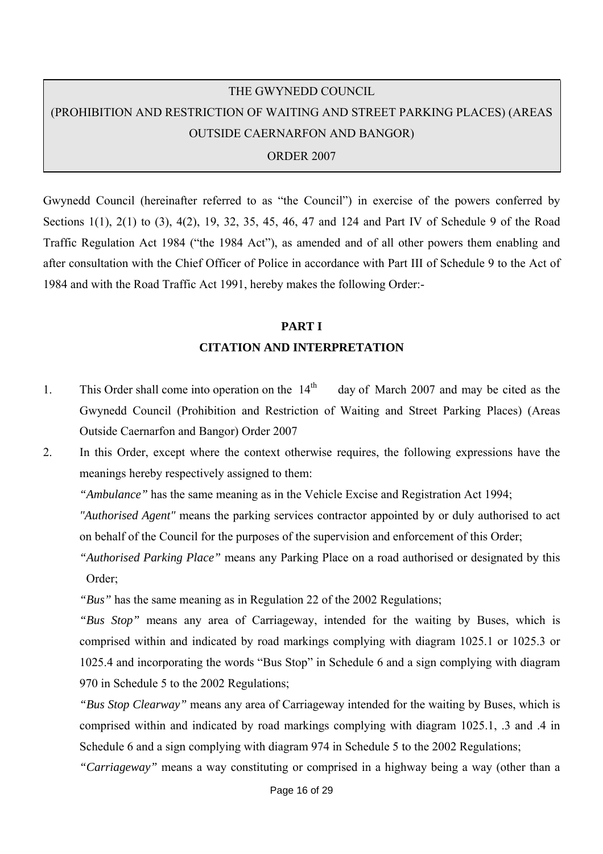# THE GWYNEDD COUNCIL (PROHIBITION AND RESTRICTION OF WAITING AND STREET PARKING PLACES) (AREAS OUTSIDE CAERNARFON AND BANGOR)

ORDER 2007

Gwynedd Council (hereinafter referred to as "the Council") in exercise of the powers conferred by Sections 1(1), 2(1) to (3), 4(2), 19, 32, 35, 45, 46, 47 and 124 and Part IV of Schedule 9 of the Road Traffic Regulation Act 1984 ("the 1984 Act"), as amended and of all other powers them enabling and after consultation with the Chief Officer of Police in accordance with Part III of Schedule 9 to the Act of 1984 and with the Road Traffic Act 1991, hereby makes the following Order:-

# **PART I CITATION AND INTERPRETATION**

1. This Order shall come into operation on the  $14<sup>th</sup>$  day of March 2007 and may be cited as the Gwynedd Council (Prohibition and Restriction of Waiting and Street Parking Places) (Areas Outside Caernarfon and Bangor) Order 2007

2. In this Order, except where the context otherwise requires, the following expressions have the meanings hereby respectively assigned to them:

*"Ambulance"* has the same meaning as in the Vehicle Excise and Registration Act 1994;

*"Authorised Agent"* means the parking services contractor appointed by or duly authorised to act on behalf of the Council for the purposes of the supervision and enforcement of this Order;

*"Authorised Parking Place"* means any Parking Place on a road authorised or designated by this Order;

*"Bus"* has the same meaning as in Regulation 22 of the 2002 Regulations;

*"Bus Stop"* means any area of Carriageway, intended for the waiting by Buses, which is comprised within and indicated by road markings complying with diagram 1025.1 or 1025.3 or 1025.4 and incorporating the words "Bus Stop" in Schedule 6 and a sign complying with diagram 970 in Schedule 5 to the 2002 Regulations;

*"Bus Stop Clearway"* means any area of Carriageway intended for the waiting by Buses, which is comprised within and indicated by road markings complying with diagram 1025.1, .3 and .4 in Schedule 6 and a sign complying with diagram 974 in Schedule 5 to the 2002 Regulations;

*"Carriageway"* means a way constituting or comprised in a highway being a way (other than a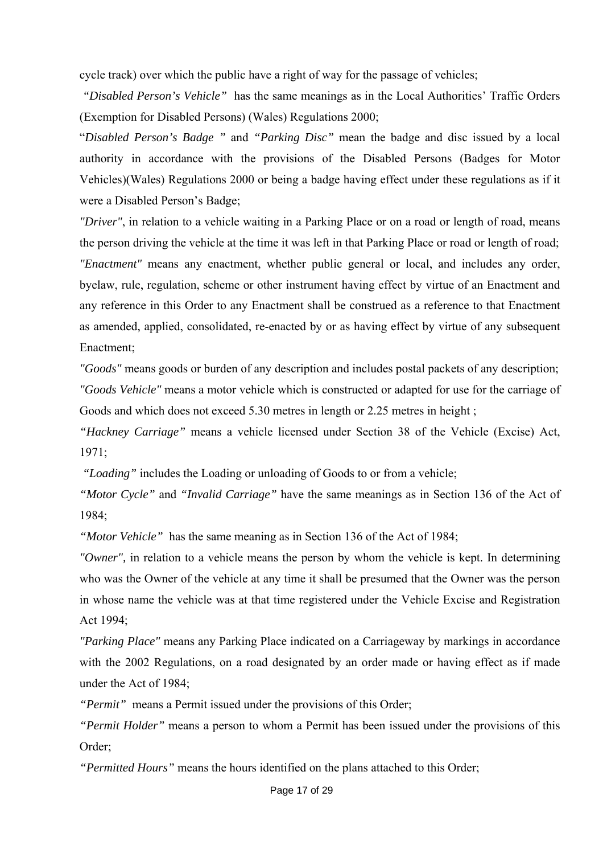cycle track) over which the public have a right of way for the passage of vehicles;

 *"Disabled Person's Vehicle"* has the same meanings as in the Local Authorities' Traffic Orders (Exemption for Disabled Persons) (Wales) Regulations 2000;

"*Disabled Person's Badge "* and *"Parking Disc"* mean the badge and disc issued by a local authority in accordance with the provisions of the Disabled Persons (Badges for Motor Vehicles)(Wales) Regulations 2000 or being a badge having effect under these regulations as if it were a Disabled Person's Badge;

*"Driver"*, in relation to a vehicle waiting in a Parking Place or on a road or length of road, means the person driving the vehicle at the time it was left in that Parking Place or road or length of road; *"Enactment"* means any enactment, whether public general or local, and includes any order, byelaw, rule, regulation, scheme or other instrument having effect by virtue of an Enactment and any reference in this Order to any Enactment shall be construed as a reference to that Enactment as amended, applied, consolidated, re-enacted by or as having effect by virtue of any subsequent Enactment;

*"Goods"* means goods or burden of any description and includes postal packets of any description; *"Goods Vehicle"* means a motor vehicle which is constructed or adapted for use for the carriage of Goods and which does not exceed 5.30 metres in length or 2.25 metres in height ;

*"Hackney Carriage"* means a vehicle licensed under Section 38 of the Vehicle (Excise) Act,  $1971$ 

 *"Loading"* includes the Loading or unloading of Goods to or from a vehicle;

*"Motor Cycle"* and *"Invalid Carriage"* have the same meanings as in Section 136 of the Act of 1984;

*"Motor Vehicle"* has the same meaning as in Section 136 of the Act of 1984;

*"Owner",* in relation to a vehicle means the person by whom the vehicle is kept. In determining who was the Owner of the vehicle at any time it shall be presumed that the Owner was the person in whose name the vehicle was at that time registered under the Vehicle Excise and Registration Act 1994;

*"Parking Place"* means any Parking Place indicated on a Carriageway by markings in accordance with the 2002 Regulations, on a road designated by an order made or having effect as if made under the Act of 1984;

*"Permit"* means a Permit issued under the provisions of this Order;

*"Permit Holder"* means a person to whom a Permit has been issued under the provisions of this Order;

*"Permitted Hours"* means the hours identified on the plans attached to this Order;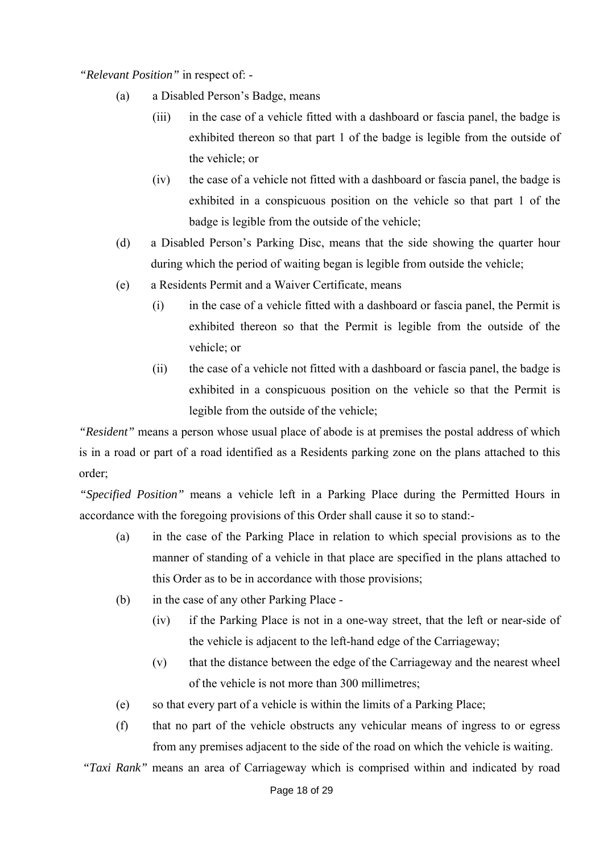*"Relevant Position"* in respect of: -

- (a) a Disabled Person's Badge, means
	- (iii) in the case of a vehicle fitted with a dashboard or fascia panel, the badge is exhibited thereon so that part 1 of the badge is legible from the outside of the vehicle; or
	- (iv) the case of a vehicle not fitted with a dashboard or fascia panel, the badge is exhibited in a conspicuous position on the vehicle so that part 1 of the badge is legible from the outside of the vehicle;
- (d) a Disabled Person's Parking Disc, means that the side showing the quarter hour during which the period of waiting began is legible from outside the vehicle;
- (e) a Residents Permit and a Waiver Certificate, means
	- (i) in the case of a vehicle fitted with a dashboard or fascia panel, the Permit is exhibited thereon so that the Permit is legible from the outside of the vehicle; or
	- (ii) the case of a vehicle not fitted with a dashboard or fascia panel, the badge is exhibited in a conspicuous position on the vehicle so that the Permit is legible from the outside of the vehicle;

*"Resident"* means a person whose usual place of abode is at premises the postal address of which is in a road or part of a road identified as a Residents parking zone on the plans attached to this order;

*"Specified Position"* means a vehicle left in a Parking Place during the Permitted Hours in accordance with the foregoing provisions of this Order shall cause it so to stand:-

- (a) in the case of the Parking Place in relation to which special provisions as to the manner of standing of a vehicle in that place are specified in the plans attached to this Order as to be in accordance with those provisions;
- (b) in the case of any other Parking Place
	- (iv) if the Parking Place is not in a one-way street, that the left or near-side of the vehicle is adjacent to the left-hand edge of the Carriageway;
	- (v) that the distance between the edge of the Carriageway and the nearest wheel of the vehicle is not more than 300 millimetres;
- (e) so that every part of a vehicle is within the limits of a Parking Place;
- (f) that no part of the vehicle obstructs any vehicular means of ingress to or egress from any premises adjacent to the side of the road on which the vehicle is waiting.

*"Taxi Rank"* means an area of Carriageway which is comprised within and indicated by road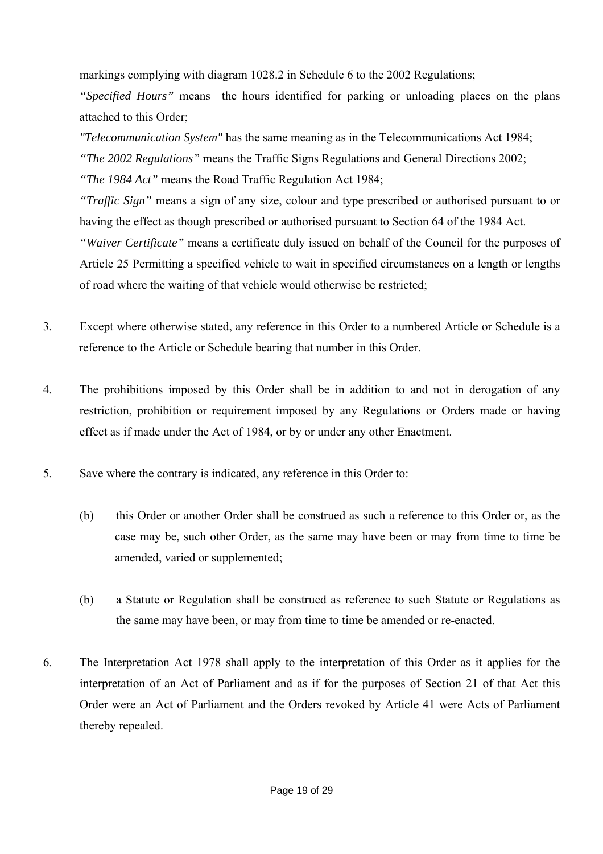markings complying with diagram 1028.2 in Schedule 6 to the 2002 Regulations;

*"Specified Hours"* means the hours identified for parking or unloading places on the plans attached to this Order;

*"Telecommunication System"* has the same meaning as in the Telecommunications Act 1984; *"The 2002 Regulations"* means the Traffic Signs Regulations and General Directions 2002; *"The 1984 Act"* means the Road Traffic Regulation Act 1984; *"Traffic Sign"* means a sign of any size, colour and type prescribed or authorised pursuant to or having the effect as though prescribed or authorised pursuant to Section 64 of the 1984 Act. *"Waiver Certificate"* means a certificate duly issued on behalf of the Council for the purposes of

Article 25 Permitting a specified vehicle to wait in specified circumstances on a length or lengths of road where the waiting of that vehicle would otherwise be restricted;

- 3. Except where otherwise stated, any reference in this Order to a numbered Article or Schedule is a reference to the Article or Schedule bearing that number in this Order.
- 4. The prohibitions imposed by this Order shall be in addition to and not in derogation of any restriction, prohibition or requirement imposed by any Regulations or Orders made or having effect as if made under the Act of 1984, or by or under any other Enactment.
- 5. Save where the contrary is indicated, any reference in this Order to:
	- (b) this Order or another Order shall be construed as such a reference to this Order or, as the case may be, such other Order, as the same may have been or may from time to time be amended, varied or supplemented;
	- (b) a Statute or Regulation shall be construed as reference to such Statute or Regulations as the same may have been, or may from time to time be amended or re-enacted.
- 6. The Interpretation Act 1978 shall apply to the interpretation of this Order as it applies for the interpretation of an Act of Parliament and as if for the purposes of Section 21 of that Act this Order were an Act of Parliament and the Orders revoked by Article 41 were Acts of Parliament thereby repealed.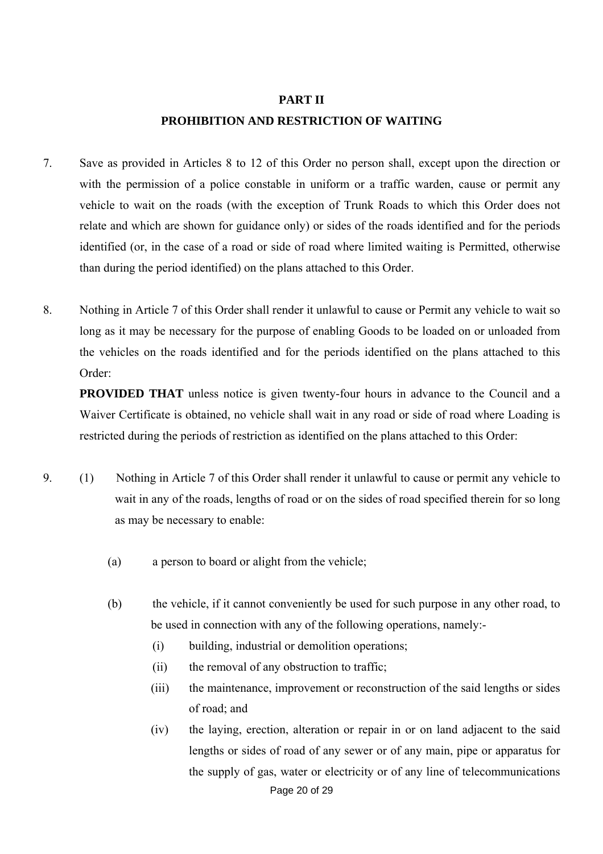#### **PART II**

### **PROHIBITION AND RESTRICTION OF WAITING**

- 7. Save as provided in Articles 8 to 12 of this Order no person shall, except upon the direction or with the permission of a police constable in uniform or a traffic warden, cause or permit any vehicle to wait on the roads (with the exception of Trunk Roads to which this Order does not relate and which are shown for guidance only) or sides of the roads identified and for the periods identified (or, in the case of a road or side of road where limited waiting is Permitted, otherwise than during the period identified) on the plans attached to this Order.
- 8. Nothing in Article 7 of this Order shall render it unlawful to cause or Permit any vehicle to wait so long as it may be necessary for the purpose of enabling Goods to be loaded on or unloaded from the vehicles on the roads identified and for the periods identified on the plans attached to this Order:

**PROVIDED THAT** unless notice is given twenty-four hours in advance to the Council and a Waiver Certificate is obtained, no vehicle shall wait in any road or side of road where Loading is restricted during the periods of restriction as identified on the plans attached to this Order:

- 9. (1) Nothing in Article 7 of this Order shall render it unlawful to cause or permit any vehicle to wait in any of the roads, lengths of road or on the sides of road specified therein for so long as may be necessary to enable:
	- (a) a person to board or alight from the vehicle;
	- (b) the vehicle, if it cannot conveniently be used for such purpose in any other road, to be used in connection with any of the following operations, namely:-
		- (i) building, industrial or demolition operations;
		- (ii) the removal of any obstruction to traffic;
		- (iii) the maintenance, improvement or reconstruction of the said lengths or sides of road; and
		- (iv) the laying, erection, alteration or repair in or on land adjacent to the said lengths or sides of road of any sewer or of any main, pipe or apparatus for the supply of gas, water or electricity or of any line of telecommunications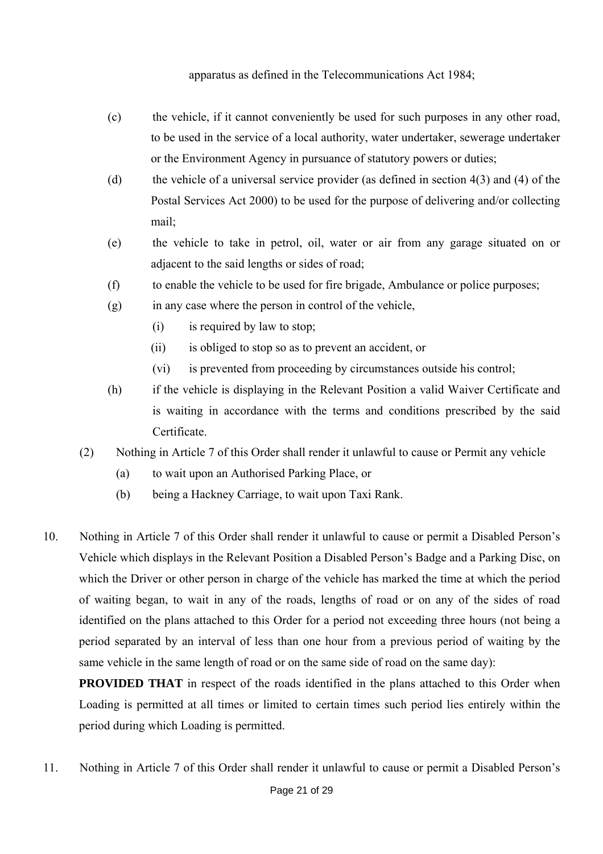apparatus as defined in the Telecommunications Act 1984;

- (c) the vehicle, if it cannot conveniently be used for such purposes in any other road, to be used in the service of a local authority, water undertaker, sewerage undertaker or the Environment Agency in pursuance of statutory powers or duties;
- (d) the vehicle of a universal service provider (as defined in section 4(3) and (4) of the Postal Services Act 2000) to be used for the purpose of delivering and/or collecting mail;
- (e) the vehicle to take in petrol, oil, water or air from any garage situated on or adjacent to the said lengths or sides of road;
- (f) to enable the vehicle to be used for fire brigade, Ambulance or police purposes;
- (g) in any case where the person in control of the vehicle,
	- (i) is required by law to stop;
	- (ii) is obliged to stop so as to prevent an accident, or
	- (vi) is prevented from proceeding by circumstances outside his control;
- (h) if the vehicle is displaying in the Relevant Position a valid Waiver Certificate and is waiting in accordance with the terms and conditions prescribed by the said **Certificate**
- (2) Nothing in Article 7 of this Order shall render it unlawful to cause or Permit any vehicle
	- (a) to wait upon an Authorised Parking Place, or
	- (b) being a Hackney Carriage, to wait upon Taxi Rank.
- 10. Nothing in Article 7 of this Order shall render it unlawful to cause or permit a Disabled Person's Vehicle which displays in the Relevant Position a Disabled Person's Badge and a Parking Disc, on which the Driver or other person in charge of the vehicle has marked the time at which the period of waiting began, to wait in any of the roads, lengths of road or on any of the sides of road identified on the plans attached to this Order for a period not exceeding three hours (not being a period separated by an interval of less than one hour from a previous period of waiting by the same vehicle in the same length of road or on the same side of road on the same day):

**PROVIDED THAT** in respect of the roads identified in the plans attached to this Order when Loading is permitted at all times or limited to certain times such period lies entirely within the period during which Loading is permitted.

11. Nothing in Article 7 of this Order shall render it unlawful to cause or permit a Disabled Person's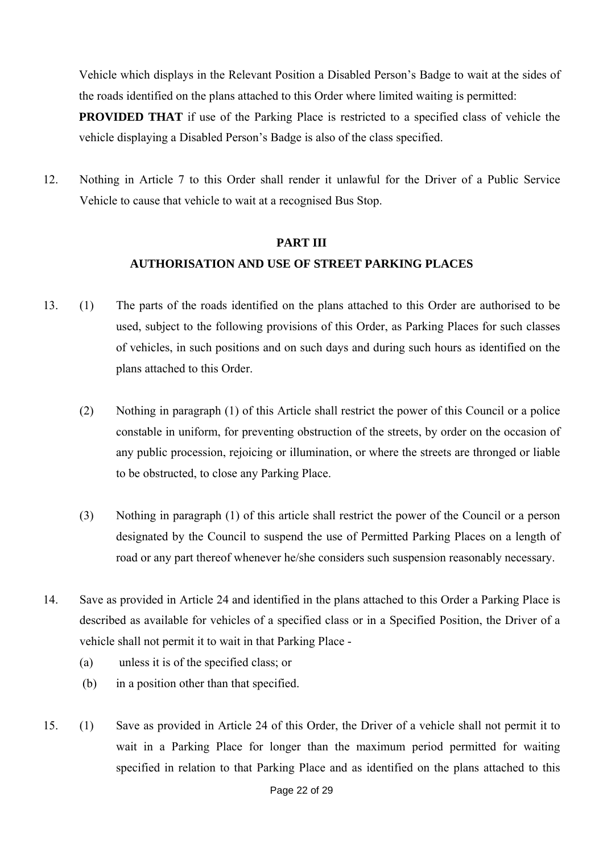Vehicle which displays in the Relevant Position a Disabled Person's Badge to wait at the sides of the roads identified on the plans attached to this Order where limited waiting is permitted:

**PROVIDED THAT** if use of the Parking Place is restricted to a specified class of vehicle the vehicle displaying a Disabled Person's Badge is also of the class specified.

12. Nothing in Article 7 to this Order shall render it unlawful for the Driver of a Public Service Vehicle to cause that vehicle to wait at a recognised Bus Stop.

## **PART III AUTHORISATION AND USE OF STREET PARKING PLACES**

- 13. (1) The parts of the roads identified on the plans attached to this Order are authorised to be used, subject to the following provisions of this Order, as Parking Places for such classes of vehicles, in such positions and on such days and during such hours as identified on the plans attached to this Order.
	- (2) Nothing in paragraph (1) of this Article shall restrict the power of this Council or a police constable in uniform, for preventing obstruction of the streets, by order on the occasion of any public procession, rejoicing or illumination, or where the streets are thronged or liable to be obstructed, to close any Parking Place.
	- (3) Nothing in paragraph (1) of this article shall restrict the power of the Council or a person designated by the Council to suspend the use of Permitted Parking Places on a length of road or any part thereof whenever he/she considers such suspension reasonably necessary.
- 14. Save as provided in Article 24 and identified in the plans attached to this Order a Parking Place is described as available for vehicles of a specified class or in a Specified Position, the Driver of a vehicle shall not permit it to wait in that Parking Place -
	- (a) unless it is of the specified class; or
	- (b) in a position other than that specified.
- 15. (1) Save as provided in Article 24 of this Order, the Driver of a vehicle shall not permit it to wait in a Parking Place for longer than the maximum period permitted for waiting specified in relation to that Parking Place and as identified on the plans attached to this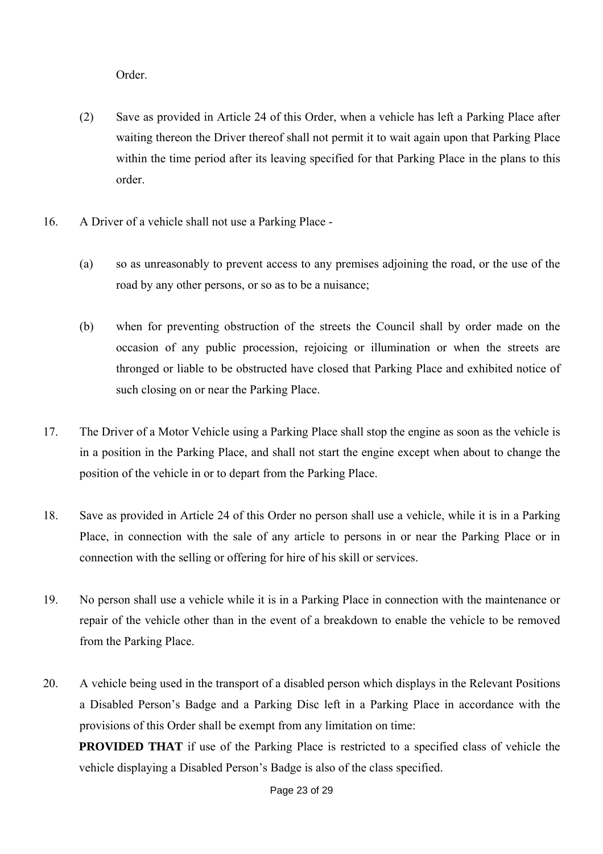Order.

- (2) Save as provided in Article 24 of this Order, when a vehicle has left a Parking Place after waiting thereon the Driver thereof shall not permit it to wait again upon that Parking Place within the time period after its leaving specified for that Parking Place in the plans to this order.
- 16. A Driver of a vehicle shall not use a Parking Place
	- (a) so as unreasonably to prevent access to any premises adjoining the road, or the use of the road by any other persons, or so as to be a nuisance;
	- (b) when for preventing obstruction of the streets the Council shall by order made on the occasion of any public procession, rejoicing or illumination or when the streets are thronged or liable to be obstructed have closed that Parking Place and exhibited notice of such closing on or near the Parking Place.
- 17. The Driver of a Motor Vehicle using a Parking Place shall stop the engine as soon as the vehicle is in a position in the Parking Place, and shall not start the engine except when about to change the position of the vehicle in or to depart from the Parking Place.
- 18. Save as provided in Article 24 of this Order no person shall use a vehicle, while it is in a Parking Place, in connection with the sale of any article to persons in or near the Parking Place or in connection with the selling or offering for hire of his skill or services.
- 19. No person shall use a vehicle while it is in a Parking Place in connection with the maintenance or repair of the vehicle other than in the event of a breakdown to enable the vehicle to be removed from the Parking Place.
- 20. A vehicle being used in the transport of a disabled person which displays in the Relevant Positions a Disabled Person's Badge and a Parking Disc left in a Parking Place in accordance with the provisions of this Order shall be exempt from any limitation on time:

**PROVIDED THAT** if use of the Parking Place is restricted to a specified class of vehicle the vehicle displaying a Disabled Person's Badge is also of the class specified.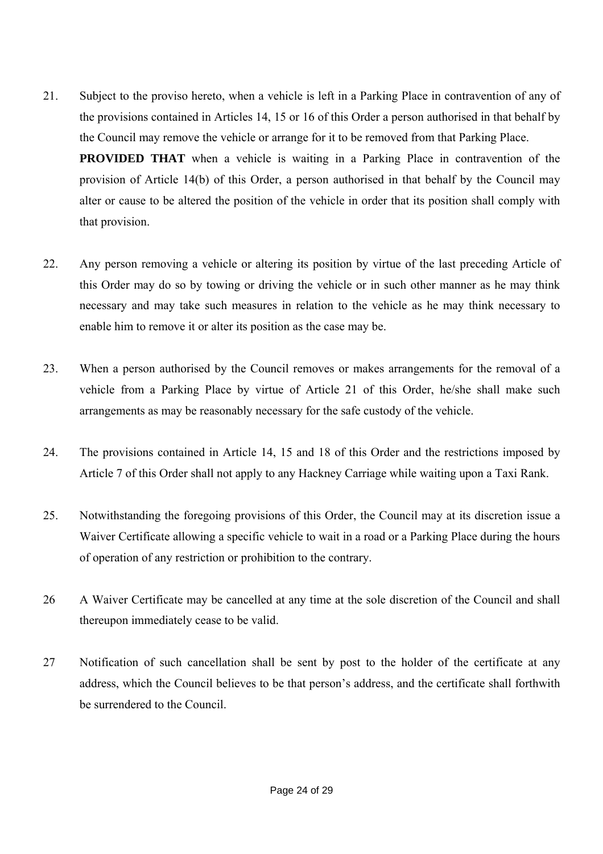- 21. Subject to the proviso hereto, when a vehicle is left in a Parking Place in contravention of any of the provisions contained in Articles 14, 15 or 16 of this Order a person authorised in that behalf by the Council may remove the vehicle or arrange for it to be removed from that Parking Place. **PROVIDED THAT** when a vehicle is waiting in a Parking Place in contravention of the provision of Article 14(b) of this Order, a person authorised in that behalf by the Council may alter or cause to be altered the position of the vehicle in order that its position shall comply with that provision.
- 22. Any person removing a vehicle or altering its position by virtue of the last preceding Article of this Order may do so by towing or driving the vehicle or in such other manner as he may think necessary and may take such measures in relation to the vehicle as he may think necessary to enable him to remove it or alter its position as the case may be.
- 23. When a person authorised by the Council removes or makes arrangements for the removal of a vehicle from a Parking Place by virtue of Article 21 of this Order, he/she shall make such arrangements as may be reasonably necessary for the safe custody of the vehicle.
- 24. The provisions contained in Article 14, 15 and 18 of this Order and the restrictions imposed by Article 7 of this Order shall not apply to any Hackney Carriage while waiting upon a Taxi Rank.
- 25. Notwithstanding the foregoing provisions of this Order, the Council may at its discretion issue a Waiver Certificate allowing a specific vehicle to wait in a road or a Parking Place during the hours of operation of any restriction or prohibition to the contrary.
- 26 A Waiver Certificate may be cancelled at any time at the sole discretion of the Council and shall thereupon immediately cease to be valid.
- 27 Notification of such cancellation shall be sent by post to the holder of the certificate at any address, which the Council believes to be that person's address, and the certificate shall forthwith be surrendered to the Council.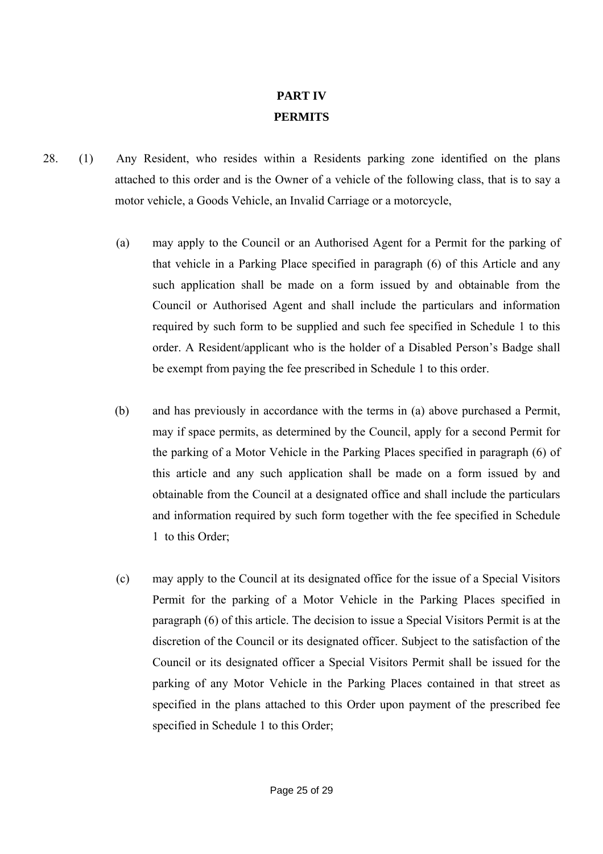# **PART IV PERMITS**

- 28. (1) Any Resident, who resides within a Residents parking zone identified on the plans attached to this order and is the Owner of a vehicle of the following class, that is to say a motor vehicle, a Goods Vehicle, an Invalid Carriage or a motorcycle,
	- (a) may apply to the Council or an Authorised Agent for a Permit for the parking of that vehicle in a Parking Place specified in paragraph (6) of this Article and any such application shall be made on a form issued by and obtainable from the Council or Authorised Agent and shall include the particulars and information required by such form to be supplied and such fee specified in Schedule 1 to this order. A Resident/applicant who is the holder of a Disabled Person's Badge shall be exempt from paying the fee prescribed in Schedule 1 to this order.
	- (b) and has previously in accordance with the terms in (a) above purchased a Permit, may if space permits, as determined by the Council, apply for a second Permit for the parking of a Motor Vehicle in the Parking Places specified in paragraph (6) of this article and any such application shall be made on a form issued by and obtainable from the Council at a designated office and shall include the particulars and information required by such form together with the fee specified in Schedule 1 to this Order;
	- (c) may apply to the Council at its designated office for the issue of a Special Visitors Permit for the parking of a Motor Vehicle in the Parking Places specified in paragraph (6) of this article. The decision to issue a Special Visitors Permit is at the discretion of the Council or its designated officer. Subject to the satisfaction of the Council or its designated officer a Special Visitors Permit shall be issued for the parking of any Motor Vehicle in the Parking Places contained in that street as specified in the plans attached to this Order upon payment of the prescribed fee specified in Schedule 1 to this Order;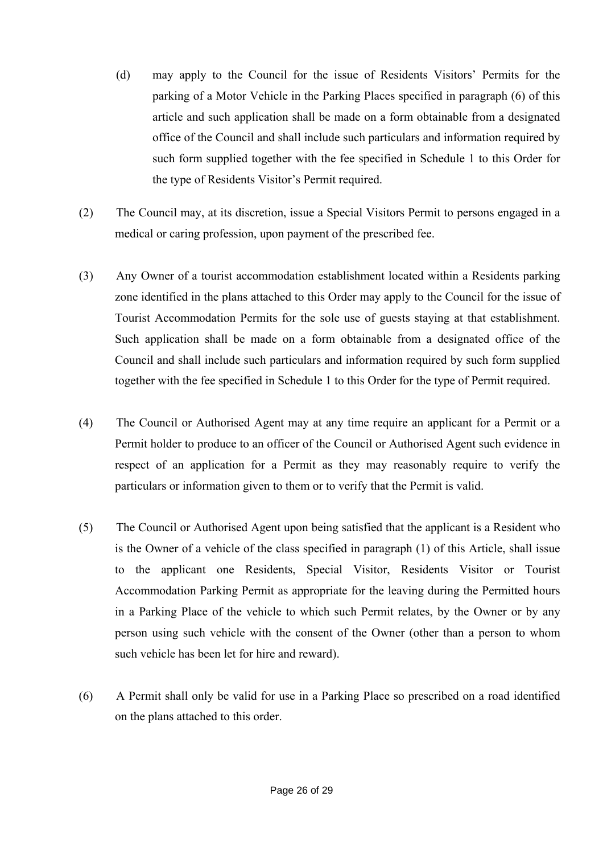- (d) may apply to the Council for the issue of Residents Visitors' Permits for the parking of a Motor Vehicle in the Parking Places specified in paragraph (6) of this article and such application shall be made on a form obtainable from a designated office of the Council and shall include such particulars and information required by such form supplied together with the fee specified in Schedule 1 to this Order for the type of Residents Visitor's Permit required.
- (2) The Council may, at its discretion, issue a Special Visitors Permit to persons engaged in a medical or caring profession, upon payment of the prescribed fee.
- (3) Any Owner of a tourist accommodation establishment located within a Residents parking zone identified in the plans attached to this Order may apply to the Council for the issue of Tourist Accommodation Permits for the sole use of guests staying at that establishment. Such application shall be made on a form obtainable from a designated office of the Council and shall include such particulars and information required by such form supplied together with the fee specified in Schedule 1 to this Order for the type of Permit required.
- (4) The Council or Authorised Agent may at any time require an applicant for a Permit or a Permit holder to produce to an officer of the Council or Authorised Agent such evidence in respect of an application for a Permit as they may reasonably require to verify the particulars or information given to them or to verify that the Permit is valid.
- (5) The Council or Authorised Agent upon being satisfied that the applicant is a Resident who is the Owner of a vehicle of the class specified in paragraph (1) of this Article, shall issue to the applicant one Residents, Special Visitor, Residents Visitor or Tourist Accommodation Parking Permit as appropriate for the leaving during the Permitted hours in a Parking Place of the vehicle to which such Permit relates, by the Owner or by any person using such vehicle with the consent of the Owner (other than a person to whom such vehicle has been let for hire and reward).
- (6) A Permit shall only be valid for use in a Parking Place so prescribed on a road identified on the plans attached to this order.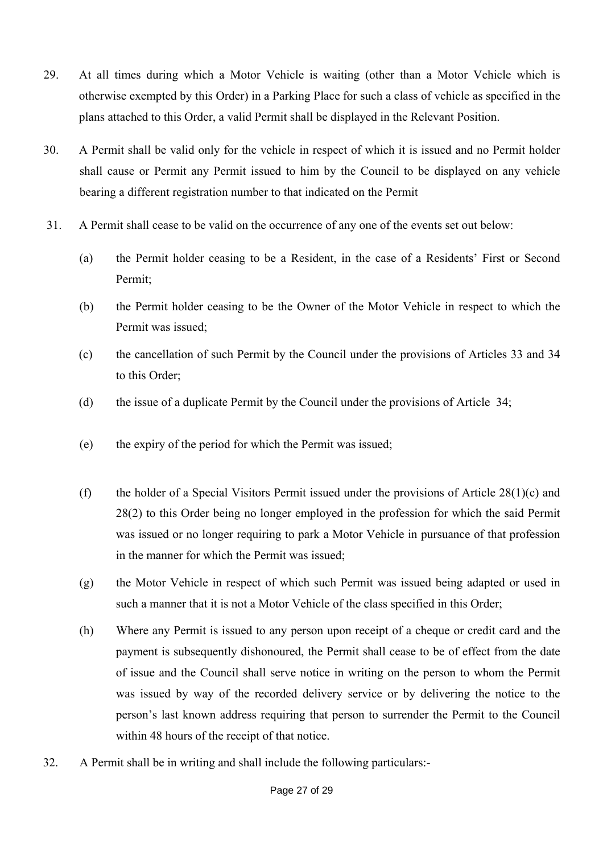- 29. At all times during which a Motor Vehicle is waiting (other than a Motor Vehicle which is otherwise exempted by this Order) in a Parking Place for such a class of vehicle as specified in the plans attached to this Order, a valid Permit shall be displayed in the Relevant Position.
- 30. A Permit shall be valid only for the vehicle in respect of which it is issued and no Permit holder shall cause or Permit any Permit issued to him by the Council to be displayed on any vehicle bearing a different registration number to that indicated on the Permit
- 31. A Permit shall cease to be valid on the occurrence of any one of the events set out below:
	- (a) the Permit holder ceasing to be a Resident, in the case of a Residents' First or Second Permit:
	- (b) the Permit holder ceasing to be the Owner of the Motor Vehicle in respect to which the Permit was issued;
	- (c) the cancellation of such Permit by the Council under the provisions of Articles 33 and 34 to this Order;
	- (d) the issue of a duplicate Permit by the Council under the provisions of Article 34;
	- (e) the expiry of the period for which the Permit was issued;
	- (f) the holder of a Special Visitors Permit issued under the provisions of Article  $28(1)(c)$  and 28(2) to this Order being no longer employed in the profession for which the said Permit was issued or no longer requiring to park a Motor Vehicle in pursuance of that profession in the manner for which the Permit was issued;
	- (g) the Motor Vehicle in respect of which such Permit was issued being adapted or used in such a manner that it is not a Motor Vehicle of the class specified in this Order;
	- (h) Where any Permit is issued to any person upon receipt of a cheque or credit card and the payment is subsequently dishonoured, the Permit shall cease to be of effect from the date of issue and the Council shall serve notice in writing on the person to whom the Permit was issued by way of the recorded delivery service or by delivering the notice to the person's last known address requiring that person to surrender the Permit to the Council within 48 hours of the receipt of that notice.
- 32. A Permit shall be in writing and shall include the following particulars:-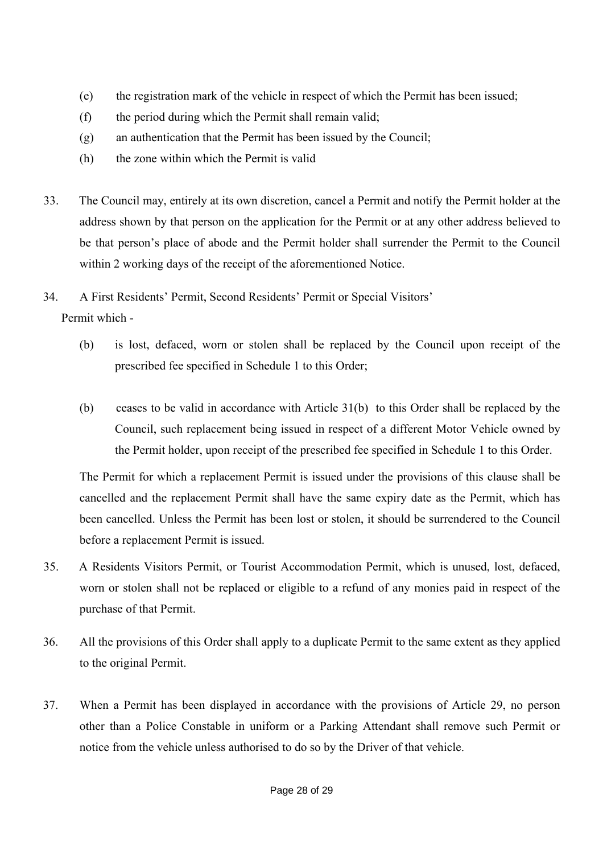- (e) the registration mark of the vehicle in respect of which the Permit has been issued;
- (f) the period during which the Permit shall remain valid;
- (g) an authentication that the Permit has been issued by the Council;
- (h) the zone within which the Permit is valid
- 33. The Council may, entirely at its own discretion, cancel a Permit and notify the Permit holder at the address shown by that person on the application for the Permit or at any other address believed to be that person's place of abode and the Permit holder shall surrender the Permit to the Council within 2 working days of the receipt of the aforementioned Notice.
- 34. A First Residents' Permit, Second Residents' Permit or Special Visitors' Permit which -
	- (b) is lost, defaced, worn or stolen shall be replaced by the Council upon receipt of the prescribed fee specified in Schedule 1 to this Order;
	- (b) ceases to be valid in accordance with Article 31(b) to this Order shall be replaced by the Council, such replacement being issued in respect of a different Motor Vehicle owned by the Permit holder, upon receipt of the prescribed fee specified in Schedule 1 to this Order.

The Permit for which a replacement Permit is issued under the provisions of this clause shall be cancelled and the replacement Permit shall have the same expiry date as the Permit, which has been cancelled. Unless the Permit has been lost or stolen, it should be surrendered to the Council before a replacement Permit is issued.

- 35. A Residents Visitors Permit, or Tourist Accommodation Permit, which is unused, lost, defaced, worn or stolen shall not be replaced or eligible to a refund of any monies paid in respect of the purchase of that Permit.
- 36. All the provisions of this Order shall apply to a duplicate Permit to the same extent as they applied to the original Permit.
- 37. When a Permit has been displayed in accordance with the provisions of Article 29, no person other than a Police Constable in uniform or a Parking Attendant shall remove such Permit or notice from the vehicle unless authorised to do so by the Driver of that vehicle.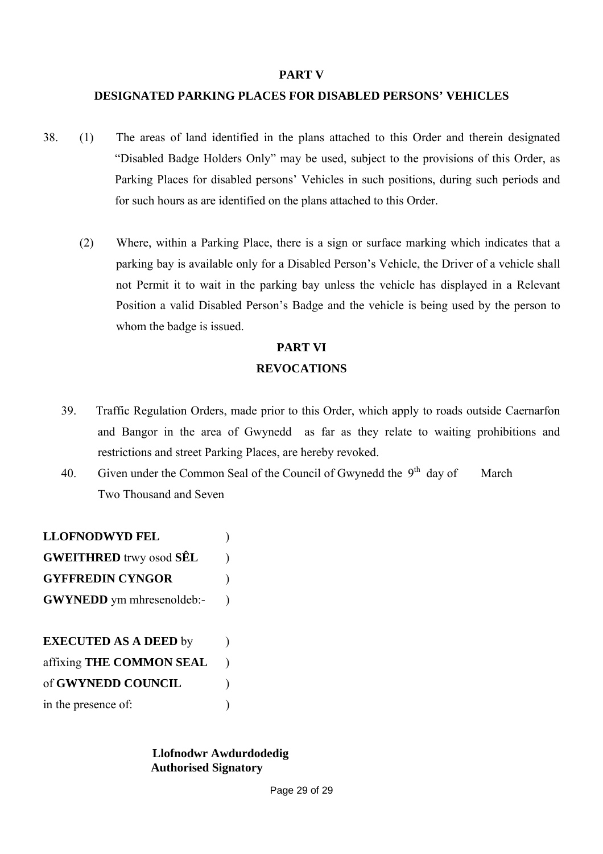#### **PART V**

### **DESIGNATED PARKING PLACES FOR DISABLED PERSONS' VEHICLES**

- 38. (1) The areas of land identified in the plans attached to this Order and therein designated "Disabled Badge Holders Only" may be used, subject to the provisions of this Order, as Parking Places for disabled persons' Vehicles in such positions, during such periods and for such hours as are identified on the plans attached to this Order.
	- (2) Where, within a Parking Place, there is a sign or surface marking which indicates that a parking bay is available only for a Disabled Person's Vehicle, the Driver of a vehicle shall not Permit it to wait in the parking bay unless the vehicle has displayed in a Relevant Position a valid Disabled Person's Badge and the vehicle is being used by the person to whom the badge is issued.

# **PART VI REVOCATIONS**

- 39. Traffic Regulation Orders, made prior to this Order, which apply to roads outside Caernarfon and Bangor in the area of Gwynedd as far as they relate to waiting prohibitions and restrictions and street Parking Places, are hereby revoked.
- 40. Given under the Common Seal of the Council of Gwynedd the  $9<sup>th</sup>$  day of March Two Thousand and Seven

**LLOFNODWYD FEL** ) **GWEITHRED** trwy osod **SÊL** ) **GYFFREDIN CYNGOR** ) **GWYNEDD** ym mhresenoldeb:-

**EXECUTED AS A DEED** by ) affixing **THE COMMON SEAL** ) of **GWYNEDD COUNCIL** ) in the presence of:

> **Llofnodwr Awdurdodedig Authorised Signatory**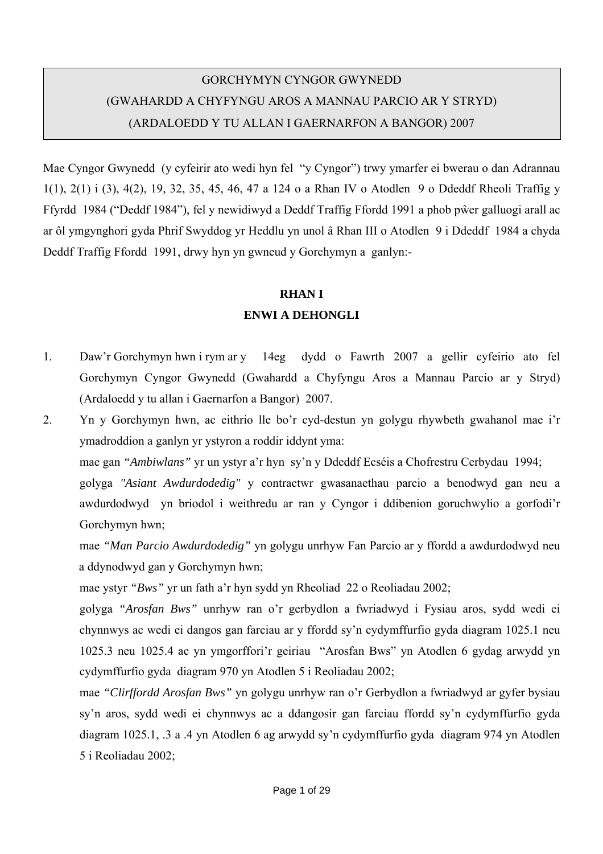# GORCHYMYN CYNGOR GWYNEDD (GWAHARDD A CHYFYNGU AROS A MANNAU PARCIO AR Y STRYD) (ARDALOEDD Y TU ALLAN I GAERNARFON A BANGOR) 2007

Mae Cyngor Gwynedd (y cyfeirir ato wedi hyn fel "y Cyngor") trwy ymarfer ei bwerau o dan Adrannau 1(1), 2(1) i (3), 4(2), 19, 32, 35, 45, 46, 47 a 124 o a Rhan IV o Atodlen 9 o Ddeddf Rheoli Traffig y Ffyrdd 1984 ("Deddf 1984"), fel y newidiwyd a Deddf Traffig Ffordd 1991 a phob pŵer galluogi arall ac ar ôl ymgynghori gyda Phrif Swyddog yr Heddlu yn unol â Rhan III o Atodlen 9 i Ddeddf 1984 a chyda Deddf Traffig Ffordd 1991, drwy hyn yn gwneud y Gorchymyn a ganlyn:-

# **RHAN I**

## **ENWI A DEHONGLI**

1. Daw'r Gorchymyn hwn i rym ar y 14eg dydd o Fawrth 2007 a gellir cyfeirio ato fel Gorchymyn Cyngor Gwynedd (Gwahardd a Chyfyngu Aros a Mannau Parcio ar y Stryd) (Ardaloedd y tu allan i Gaernarfon a Bangor) 2007.

2. Yn y Gorchymyn hwn, ac eithrio lle bo'r cyd-destun yn golygu rhywbeth gwahanol mae i'r ymadroddion a ganlyn yr ystyron a roddir iddynt yma:

mae gan *"Ambiwlans"* yr un ystyr a'r hyn sy'n y Ddeddf Ecséis a Chofrestru Cerbydau 1994;

golyga *"Asiant Awdurdodedig"* y contractwr gwasanaethau parcio a benodwyd gan neu a awdurdodwyd yn briodol i weithredu ar ran y Cyngor i ddibenion goruchwylio a gorfodi'r Gorchymyn hwn;

 mae *"Man Parcio Awdurdodedig"* yn golygu unrhyw Fan Parcio ar y ffordd a awdurdodwyd neu a ddynodwyd gan y Gorchymyn hwn;

mae ystyr *"Bws"* yr un fath a'r hyn sydd yn Rheoliad 22 o Reoliadau 2002;

golyga *"Arosfan Bws"* unrhyw ran o'r gerbydlon a fwriadwyd i Fysiau aros, sydd wedi ei chynnwys ac wedi ei dangos gan farciau ar y ffordd sy'n cydymffurfio gyda diagram 1025.1 neu 1025.3 neu 1025.4 ac yn ymgorffori'r geiriau "Arosfan Bws" yn Atodlen 6 gydag arwydd yn cydymffurfio gyda diagram 970 yn Atodlen 5 i Reoliadau 2002;

mae *"Clirffordd Arosfan Bws"* yn golygu unrhyw ran o'r Gerbydlon a fwriadwyd ar gyfer bysiau sy'n aros, sydd wedi ei chynnwys ac a ddangosir gan farciau ffordd sy'n cydymffurfio gyda diagram 1025.1, .3 a .4 yn Atodlen 6 ag arwydd sy'n cydymffurfio gyda diagram 974 yn Atodlen 5 i Reoliadau 2002;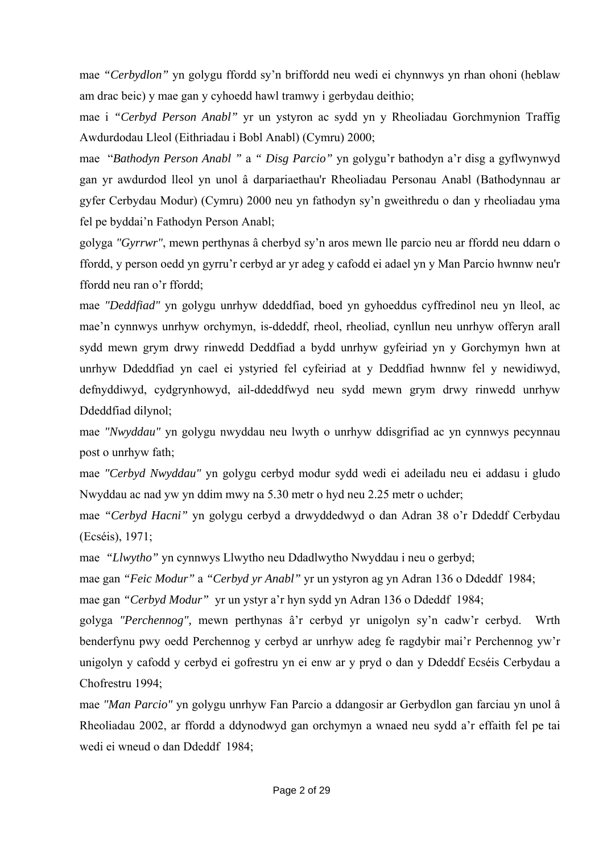mae *"Cerbydlon"* yn golygu ffordd sy'n briffordd neu wedi ei chynnwys yn rhan ohoni (heblaw am drac beic) y mae gan y cyhoedd hawl tramwy i gerbydau deithio;

mae i *"Cerbyd Person Anabl"* yr un ystyron ac sydd yn y Rheoliadau Gorchmynion Traffig Awdurdodau Lleol (Eithriadau i Bobl Anabl) (Cymru) 2000;

mae "*Bathodyn Person Anabl "* a *" Disg Parcio"* yn golygu'r bathodyn a'r disg a gyflwynwyd gan yr awdurdod lleol yn unol â darpariaethau'r Rheoliadau Personau Anabl (Bathodynnau ar gyfer Cerbydau Modur) (Cymru) 2000 neu yn fathodyn sy'n gweithredu o dan y rheoliadau yma fel pe byddai'n Fathodyn Person Anabl;

golyga *"Gyrrwr"*, mewn perthynas â cherbyd sy'n aros mewn lle parcio neu ar ffordd neu ddarn o ffordd, y person oedd yn gyrru'r cerbyd ar yr adeg y cafodd ei adael yn y Man Parcio hwnnw neu'r ffordd neu ran o'r ffordd;

mae *"Deddfiad"* yn golygu unrhyw ddeddfiad, boed yn gyhoeddus cyffredinol neu yn lleol, ac mae'n cynnwys unrhyw orchymyn, is-ddeddf, rheol, rheoliad, cynllun neu unrhyw offeryn arall sydd mewn grym drwy rinwedd Deddfiad a bydd unrhyw gyfeiriad yn y Gorchymyn hwn at unrhyw Ddeddfiad yn cael ei ystyried fel cyfeiriad at y Deddfiad hwnnw fel y newidiwyd, defnyddiwyd, cydgrynhowyd, ail-ddeddfwyd neu sydd mewn grym drwy rinwedd unrhyw Ddeddfiad dilynol;

mae *"Nwyddau"* yn golygu nwyddau neu lwyth o unrhyw ddisgrifiad ac yn cynnwys pecynnau post o unrhyw fath;

mae *"Cerbyd Nwyddau"* yn golygu cerbyd modur sydd wedi ei adeiladu neu ei addasu i gludo Nwyddau ac nad yw yn ddim mwy na 5.30 metr o hyd neu 2.25 metr o uchder;

mae *"Cerbyd Hacni"* yn golygu cerbyd a drwyddedwyd o dan Adran 38 o'r Ddeddf Cerbydau (Ecséis), 1971;

mae *"Llwytho"* yn cynnwys Llwytho neu Ddadlwytho Nwyddau i neu o gerbyd;

mae gan *"Feic Modur"* a *"Cerbyd yr Anabl"* yr un ystyron ag yn Adran 136 o Ddeddf 1984;

mae gan *"Cerbyd Modur"* yr un ystyr a'r hyn sydd yn Adran 136 o Ddeddf 1984;

golyga *"Perchennog",* mewn perthynas â'r cerbyd yr unigolyn sy'n cadw'r cerbyd. Wrth benderfynu pwy oedd Perchennog y cerbyd ar unrhyw adeg fe ragdybir mai'r Perchennog yw'r unigolyn y cafodd y cerbyd ei gofrestru yn ei enw ar y pryd o dan y Ddeddf Ecséis Cerbydau a Chofrestru 1994;

mae *"Man Parcio"* yn golygu unrhyw Fan Parcio a ddangosir ar Gerbydlon gan farciau yn unol â Rheoliadau 2002, ar ffordd a ddynodwyd gan orchymyn a wnaed neu sydd a'r effaith fel pe tai wedi ei wneud o dan Ddeddf 1984;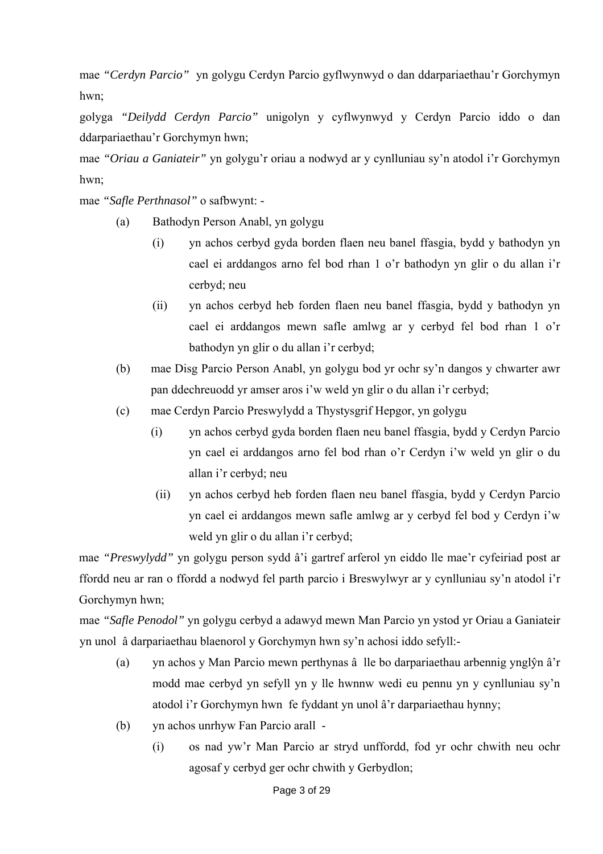mae *"Cerdyn Parcio"* yn golygu Cerdyn Parcio gyflwynwyd o dan ddarpariaethau'r Gorchymyn hwn;

 golyga *"Deilydd Cerdyn Parcio"* unigolyn y cyflwynwyd y Cerdyn Parcio iddo o dan ddarpariaethau'r Gorchymyn hwn;

mae *"Oriau a Ganiateir"* yn golygu'r oriau a nodwyd ar y cynlluniau sy'n atodol i'r Gorchymyn hwn;

mae *"Safle Perthnasol"* o safbwynt: -

- (a) Bathodyn Person Anabl, yn golygu
	- (i) yn achos cerbyd gyda borden flaen neu banel ffasgia, bydd y bathodyn yn cael ei arddangos arno fel bod rhan 1 o'r bathodyn yn glir o du allan i'r cerbyd; neu
	- (ii) yn achos cerbyd heb forden flaen neu banel ffasgia, bydd y bathodyn yn cael ei arddangos mewn safle amlwg ar y cerbyd fel bod rhan 1 o'r bathodyn yn glir o du allan i'r cerbyd;
- (b) mae Disg Parcio Person Anabl, yn golygu bod yr ochr sy'n dangos y chwarter awr pan ddechreuodd yr amser aros i'w weld yn glir o du allan i'r cerbyd;
- (c) mae Cerdyn Parcio Preswylydd a Thystysgrif Hepgor, yn golygu
	- (i) yn achos cerbyd gyda borden flaen neu banel ffasgia, bydd y Cerdyn Parcio yn cael ei arddangos arno fel bod rhan o'r Cerdyn i'w weld yn glir o du allan i'r cerbyd; neu
		- (ii) yn achos cerbyd heb forden flaen neu banel ffasgia, bydd y Cerdyn Parcio yn cael ei arddangos mewn safle amlwg ar y cerbyd fel bod y Cerdyn i'w weld yn glir o du allan i'r cerbyd;

mae *"Preswylydd"* yn golygu person sydd â'i gartref arferol yn eiddo lle mae'r cyfeiriad post ar ffordd neu ar ran o ffordd a nodwyd fel parth parcio i Breswylwyr ar y cynlluniau sy'n atodol i'r Gorchymyn hwn;

mae *"Safle Penodol"* yn golygu cerbyd a adawyd mewn Man Parcio yn ystod yr Oriau a Ganiateir yn unol â darpariaethau blaenorol y Gorchymyn hwn sy'n achosi iddo sefyll:-

- (a) yn achos y Man Parcio mewn perthynas â lle bo darpariaethau arbennig ynglŷn â'r modd mae cerbyd yn sefyll yn y lle hwnnw wedi eu pennu yn y cynlluniau sy'n atodol i'r Gorchymyn hwn fe fyddant yn unol â'r darpariaethau hynny;
- (b) yn achos unrhyw Fan Parcio arall
	- (i) os nad yw'r Man Parcio ar stryd unffordd, fod yr ochr chwith neu ochr agosaf y cerbyd ger ochr chwith y Gerbydlon;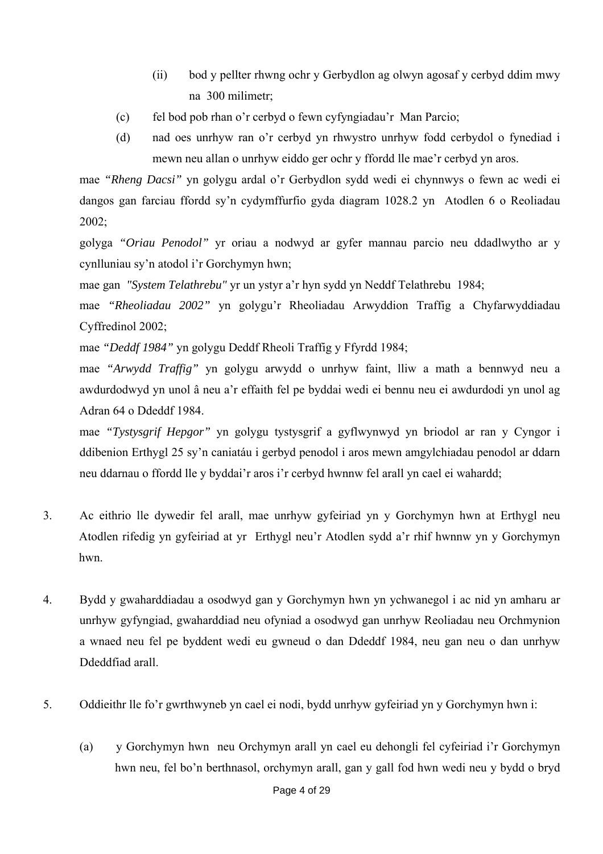- (ii) bod y pellter rhwng ochr y Gerbydlon ag olwyn agosaf y cerbyd ddim mwy na 300 milimetr;
- (c) fel bod pob rhan o'r cerbyd o fewn cyfyngiadau'r Man Parcio;
- (d) nad oes unrhyw ran o'r cerbyd yn rhwystro unrhyw fodd cerbydol o fynediad i mewn neu allan o unrhyw eiddo ger ochr y ffordd lle mae'r cerbyd yn aros.

mae *"Rheng Dacsi"* yn golygu ardal o'r Gerbydlon sydd wedi ei chynnwys o fewn ac wedi ei dangos gan farciau ffordd sy'n cydymffurfio gyda diagram 1028.2 yn Atodlen 6 o Reoliadau 2002;

golyga *"Oriau Penodol"* yr oriau a nodwyd ar gyfer mannau parcio neu ddadlwytho ar y cynlluniau sy'n atodol i'r Gorchymyn hwn;

mae gan *"System Telathrebu"* yr un ystyr a'r hyn sydd yn Neddf Telathrebu 1984;

mae *"Rheoliadau 2002"* yn golygu'r Rheoliadau Arwyddion Traffig a Chyfarwyddiadau Cyffredinol 2002;

mae *"Deddf 1984"* yn golygu Deddf Rheoli Traffig y Ffyrdd 1984;

mae *"Arwydd Traffig"* yn golygu arwydd o unrhyw faint, lliw a math a bennwyd neu a awdurdodwyd yn unol â neu a'r effaith fel pe byddai wedi ei bennu neu ei awdurdodi yn unol ag Adran 64 o Ddeddf 1984.

mae *"Tystysgrif Hepgor"* yn golygu tystysgrif a gyflwynwyd yn briodol ar ran y Cyngor i ddibenion Erthygl 25 sy'n caniatáu i gerbyd penodol i aros mewn amgylchiadau penodol ar ddarn neu ddarnau o ffordd lle y byddai'r aros i'r cerbyd hwnnw fel arall yn cael ei wahardd;

- 3. Ac eithrio lle dywedir fel arall, mae unrhyw gyfeiriad yn y Gorchymyn hwn at Erthygl neu Atodlen rifedig yn gyfeiriad at yr Erthygl neu'r Atodlen sydd a'r rhif hwnnw yn y Gorchymyn hwn.
- 4. Bydd y gwaharddiadau a osodwyd gan y Gorchymyn hwn yn ychwanegol i ac nid yn amharu ar unrhyw gyfyngiad, gwaharddiad neu ofyniad a osodwyd gan unrhyw Reoliadau neu Orchmynion a wnaed neu fel pe byddent wedi eu gwneud o dan Ddeddf 1984, neu gan neu o dan unrhyw Ddeddfiad arall.
- 5. Oddieithr lle fo'r gwrthwyneb yn cael ei nodi, bydd unrhyw gyfeiriad yn y Gorchymyn hwn i:
	- (a) y Gorchymyn hwn neu Orchymyn arall yn cael eu dehongli fel cyfeiriad i'r Gorchymyn hwn neu, fel bo'n berthnasol, orchymyn arall, gan y gall fod hwn wedi neu y bydd o bryd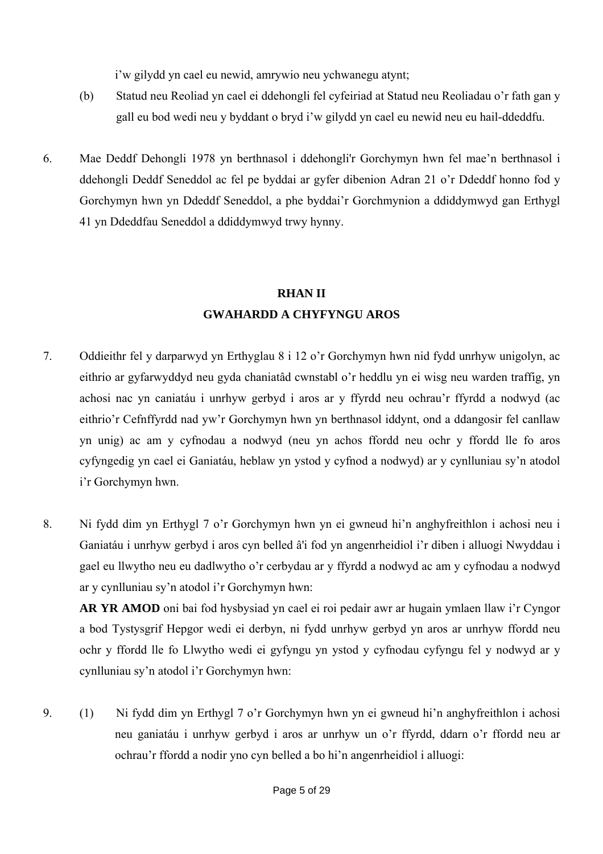i'w gilydd yn cael eu newid, amrywio neu ychwanegu atynt;

- (b) Statud neu Reoliad yn cael ei ddehongli fel cyfeiriad at Statud neu Reoliadau o'r fath gan y gall eu bod wedi neu y byddant o bryd i'w gilydd yn cael eu newid neu eu hail-ddeddfu.
- 6. Mae Deddf Dehongli 1978 yn berthnasol i ddehongli'r Gorchymyn hwn fel mae'n berthnasol i ddehongli Deddf Seneddol ac fel pe byddai ar gyfer dibenion Adran 21 o'r Ddeddf honno fod y Gorchymyn hwn yn Ddeddf Seneddol, a phe byddai'r Gorchmynion a ddiddymwyd gan Erthygl 41 yn Ddeddfau Seneddol a ddiddymwyd trwy hynny.

## **RHAN II GWAHARDD A CHYFYNGU AROS**

- 7. Oddieithr fel y darparwyd yn Erthyglau 8 i 12 o'r Gorchymyn hwn nid fydd unrhyw unigolyn, ac eithrio ar gyfarwyddyd neu gyda chaniatâd cwnstabl o'r heddlu yn ei wisg neu warden traffig, yn achosi nac yn caniatáu i unrhyw gerbyd i aros ar y ffyrdd neu ochrau'r ffyrdd a nodwyd (ac eithrio'r Cefnffyrdd nad yw'r Gorchymyn hwn yn berthnasol iddynt, ond a ddangosir fel canllaw yn unig) ac am y cyfnodau a nodwyd (neu yn achos ffordd neu ochr y ffordd lle fo aros cyfyngedig yn cael ei Ganiatáu, heblaw yn ystod y cyfnod a nodwyd) ar y cynlluniau sy'n atodol i'r Gorchymyn hwn.
- 8. Ni fydd dim yn Erthygl 7 o'r Gorchymyn hwn yn ei gwneud hi'n anghyfreithlon i achosi neu i Ganiatáu i unrhyw gerbyd i aros cyn belled â'i fod yn angenrheidiol i'r diben i alluogi Nwyddau i gael eu llwytho neu eu dadlwytho o'r cerbydau ar y ffyrdd a nodwyd ac am y cyfnodau a nodwyd ar y cynlluniau sy'n atodol i'r Gorchymyn hwn:

**AR YR AMOD** oni bai fod hysbysiad yn cael ei roi pedair awr ar hugain ymlaen llaw i'r Cyngor a bod Tystysgrif Hepgor wedi ei derbyn, ni fydd unrhyw gerbyd yn aros ar unrhyw ffordd neu ochr y ffordd lle fo Llwytho wedi ei gyfyngu yn ystod y cyfnodau cyfyngu fel y nodwyd ar y cynlluniau sy'n atodol i'r Gorchymyn hwn:

9. (1) Ni fydd dim yn Erthygl 7 o'r Gorchymyn hwn yn ei gwneud hi'n anghyfreithlon i achosi neu ganiatáu i unrhyw gerbyd i aros ar unrhyw un o'r ffyrdd, ddarn o'r ffordd neu ar ochrau'r ffordd a nodir yno cyn belled a bo hi'n angenrheidiol i alluogi: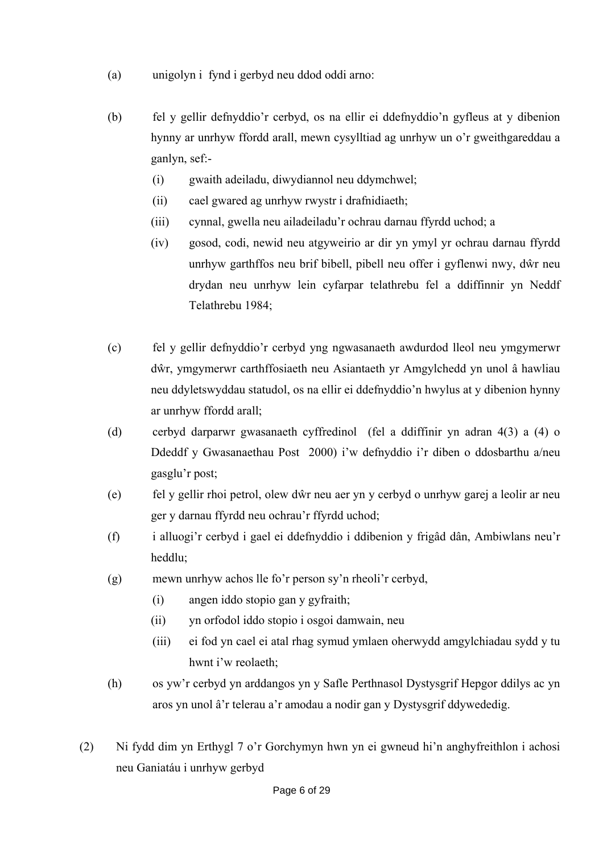- (a) unigolyn i fynd i gerbyd neu ddod oddi arno:
- (b) fel y gellir defnyddio'r cerbyd, os na ellir ei ddefnyddio'n gyfleus at y dibenion hynny ar unrhyw ffordd arall, mewn cysylltiad ag unrhyw un o'r gweithgareddau a ganlyn, sef:-
	- (i) gwaith adeiladu, diwydiannol neu ddymchwel;
	- (ii) cael gwared ag unrhyw rwystr i drafnidiaeth;
	- (iii) cynnal, gwella neu ailadeiladu'r ochrau darnau ffyrdd uchod; a
	- (iv) gosod, codi, newid neu atgyweirio ar dir yn ymyl yr ochrau darnau ffyrdd unrhyw garthffos neu brif bibell, pibell neu offer i gyflenwi nwy, dŵr neu drydan neu unrhyw lein cyfarpar telathrebu fel a ddiffinnir yn Neddf Telathrebu 1984;
- (c) fel y gellir defnyddio'r cerbyd yng ngwasanaeth awdurdod lleol neu ymgymerwr dŵr, ymgymerwr carthffosiaeth neu Asiantaeth yr Amgylchedd yn unol â hawliau neu ddyletswyddau statudol, os na ellir ei ddefnyddio'n hwylus at y dibenion hynny ar unrhyw ffordd arall;
- (d) cerbyd darparwr gwasanaeth cyffredinol (fel a ddiffinir yn adran 4(3) a (4) o Ddeddf y Gwasanaethau Post 2000) i'w defnyddio i'r diben o ddosbarthu a/neu gasglu'r post;
- (e) fel y gellir rhoi petrol, olew dŵr neu aer yn y cerbyd o unrhyw garej a leolir ar neu ger y darnau ffyrdd neu ochrau'r ffyrdd uchod;
- (f) i alluogi'r cerbyd i gael ei ddefnyddio i ddibenion y frigâd dân, Ambiwlans neu'r heddlu;
- (g) mewn unrhyw achos lle fo'r person sy'n rheoli'r cerbyd,
	- (i) angen iddo stopio gan y gyfraith;
	- (ii) yn orfodol iddo stopio i osgoi damwain, neu
	- (iii) ei fod yn cael ei atal rhag symud ymlaen oherwydd amgylchiadau sydd y tu hwnt i'w reolaeth;
- (h) os yw'r cerbyd yn arddangos yn y Safle Perthnasol Dystysgrif Hepgor ddilys ac yn aros yn unol â'r telerau a'r amodau a nodir gan y Dystysgrif ddywededig.
- (2) Ni fydd dim yn Erthygl 7 o'r Gorchymyn hwn yn ei gwneud hi'n anghyfreithlon i achosi neu Ganiatáu i unrhyw gerbyd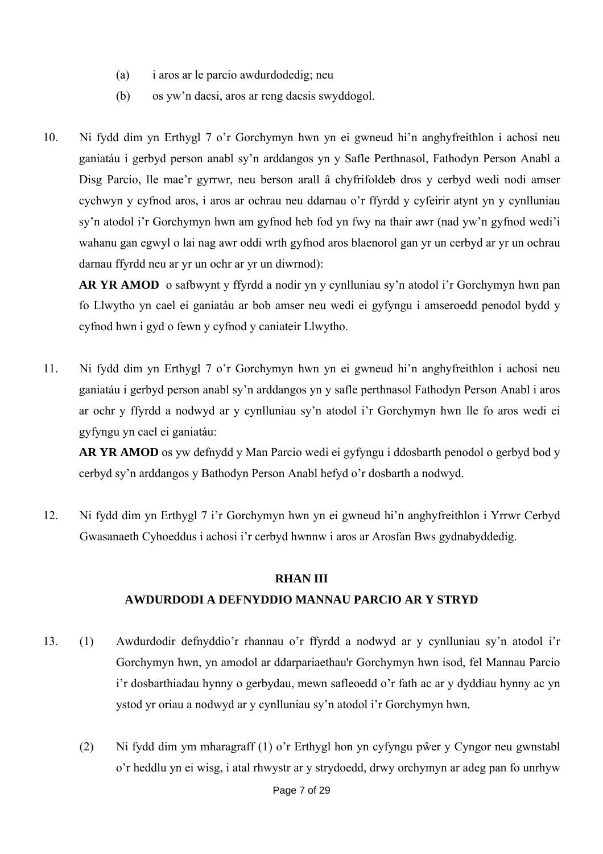- (a) i aros ar le parcio awdurdodedig; neu
- (b) os yw'n dacsi, aros ar reng dacsis swyddogol.
- 10. Ni fydd dim yn Erthygl 7 o'r Gorchymyn hwn yn ei gwneud hi'n anghyfreithlon i achosi neu ganiatáu i gerbyd person anabl sy'n arddangos yn y Safle Perthnasol, Fathodyn Person Anabl a Disg Parcio, lle mae'r gyrrwr, neu berson arall â chyfrifoldeb dros y cerbyd wedi nodi amser cychwyn y cyfnod aros, i aros ar ochrau neu ddarnau o'r ffyrdd y cyfeirir atynt yn y cynlluniau sy'n atodol i'r Gorchymyn hwn am gyfnod heb fod yn fwy na thair awr (nad yw'n gyfnod wedi'i wahanu gan egwyl o lai nag awr oddi wrth gyfnod aros blaenorol gan yr un cerbyd ar yr un ochrau darnau ffyrdd neu ar yr un ochr ar yr un diwrnod):

**AR YR AMOD** o safbwynt y ffyrdd a nodir yn y cynlluniau sy'n atodol i'r Gorchymyn hwn pan fo Llwytho yn cael ei ganiatáu ar bob amser neu wedi ei gyfyngu i amseroedd penodol bydd y cyfnod hwn i gyd o fewn y cyfnod y caniateir Llwytho.

11. Ni fydd dim yn Erthygl 7 o'r Gorchymyn hwn yn ei gwneud hi'n anghyfreithlon i achosi neu ganiatáu i gerbyd person anabl sy'n arddangos yn y safle perthnasol Fathodyn Person Anabl i aros ar ochr y ffyrdd a nodwyd ar y cynlluniau sy'n atodol i'r Gorchymyn hwn lle fo aros wedi ei gyfyngu yn cael ei ganiatáu:

**AR YR AMOD** os yw defnydd y Man Parcio wedi ei gyfyngu i ddosbarth penodol o gerbyd bod y cerbyd sy'n arddangos y Bathodyn Person Anabl hefyd o'r dosbarth a nodwyd.

12. Ni fydd dim yn Erthygl 7 i'r Gorchymyn hwn yn ei gwneud hi'n anghyfreithlon i Yrrwr Cerbyd Gwasanaeth Cyhoeddus i achosi i'r cerbyd hwnnw i aros ar Arosfan Bws gydnabyddedig.

### **RHAN III**

## **AWDURDODI A DEFNYDDIO MANNAU PARCIO AR Y STRYD**

- 13. (1) Awdurdodir defnyddio'r rhannau o'r ffyrdd a nodwyd ar y cynlluniau sy'n atodol i'r Gorchymyn hwn, yn amodol ar ddarpariaethau'r Gorchymyn hwn isod, fel Mannau Parcio i'r dosbarthiadau hynny o gerbydau, mewn safleoedd o'r fath ac ar y dyddiau hynny ac yn ystod yr oriau a nodwyd ar y cynlluniau sy'n atodol i'r Gorchymyn hwn.
	- (2) Ni fydd dim ym mharagraff (1) o'r Erthygl hon yn cyfyngu pŵer y Cyngor neu gwnstabl o'r heddlu yn ei wisg, i atal rhwystr ar y strydoedd, drwy orchymyn ar adeg pan fo unrhyw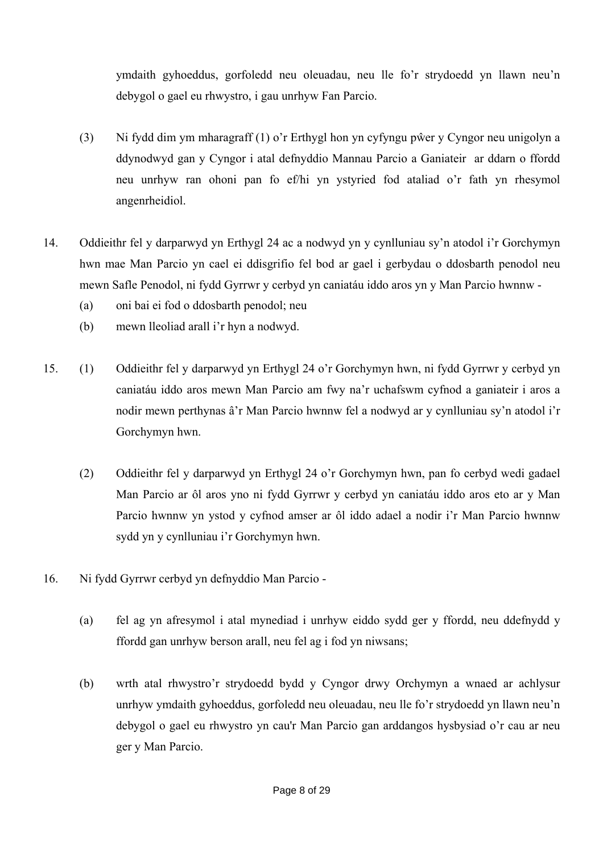ymdaith gyhoeddus, gorfoledd neu oleuadau, neu lle fo'r strydoedd yn llawn neu'n debygol o gael eu rhwystro, i gau unrhyw Fan Parcio.

- (3) Ni fydd dim ym mharagraff (1) o'r Erthygl hon yn cyfyngu pŵer y Cyngor neu unigolyn a ddynodwyd gan y Cyngor i atal defnyddio Mannau Parcio a Ganiateir ar ddarn o ffordd neu unrhyw ran ohoni pan fo ef/hi yn ystyried fod ataliad o'r fath yn rhesymol angenrheidiol.
- 14. Oddieithr fel y darparwyd yn Erthygl 24 ac a nodwyd yn y cynlluniau sy'n atodol i'r Gorchymyn hwn mae Man Parcio yn cael ei ddisgrifio fel bod ar gael i gerbydau o ddosbarth penodol neu mewn Safle Penodol, ni fydd Gyrrwr y cerbyd yn caniatáu iddo aros yn y Man Parcio hwnnw -
	- (a) oni bai ei fod o ddosbarth penodol; neu
	- (b) mewn lleoliad arall i'r hyn a nodwyd.
- 15. (1) Oddieithr fel y darparwyd yn Erthygl 24 o'r Gorchymyn hwn, ni fydd Gyrrwr y cerbyd yn caniatáu iddo aros mewn Man Parcio am fwy na'r uchafswm cyfnod a ganiateir i aros a nodir mewn perthynas â'r Man Parcio hwnnw fel a nodwyd ar y cynlluniau sy'n atodol i'r Gorchymyn hwn.
	- (2) Oddieithr fel y darparwyd yn Erthygl 24 o'r Gorchymyn hwn, pan fo cerbyd wedi gadael Man Parcio ar ôl aros yno ni fydd Gyrrwr y cerbyd yn caniatáu iddo aros eto ar y Man Parcio hwnnw yn ystod y cyfnod amser ar ôl iddo adael a nodir i'r Man Parcio hwnnw sydd yn y cynlluniau i'r Gorchymyn hwn.
- 16. Ni fydd Gyrrwr cerbyd yn defnyddio Man Parcio
	- (a) fel ag yn afresymol i atal mynediad i unrhyw eiddo sydd ger y ffordd, neu ddefnydd y ffordd gan unrhyw berson arall, neu fel ag i fod yn niwsans;
	- (b) wrth atal rhwystro'r strydoedd bydd y Cyngor drwy Orchymyn a wnaed ar achlysur unrhyw ymdaith gyhoeddus, gorfoledd neu oleuadau, neu lle fo'r strydoedd yn llawn neu'n debygol o gael eu rhwystro yn cau'r Man Parcio gan arddangos hysbysiad o'r cau ar neu ger y Man Parcio.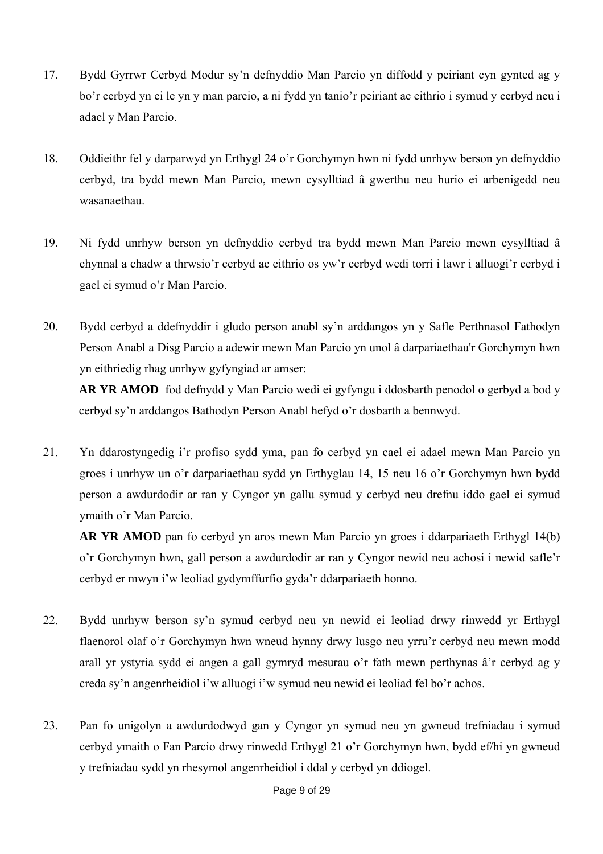- 17. Bydd Gyrrwr Cerbyd Modur sy'n defnyddio Man Parcio yn diffodd y peiriant cyn gynted ag y bo'r cerbyd yn ei le yn y man parcio, a ni fydd yn tanio'r peiriant ac eithrio i symud y cerbyd neu i adael y Man Parcio.
- 18. Oddieithr fel y darparwyd yn Erthygl 24 o'r Gorchymyn hwn ni fydd unrhyw berson yn defnyddio cerbyd, tra bydd mewn Man Parcio, mewn cysylltiad â gwerthu neu hurio ei arbenigedd neu wasanaethau.
- 19. Ni fydd unrhyw berson yn defnyddio cerbyd tra bydd mewn Man Parcio mewn cysylltiad â chynnal a chadw a thrwsio'r cerbyd ac eithrio os yw'r cerbyd wedi torri i lawr i alluogi'r cerbyd i gael ei symud o'r Man Parcio.
- 20. Bydd cerbyd a ddefnyddir i gludo person anabl sy'n arddangos yn y Safle Perthnasol Fathodyn Person Anabl a Disg Parcio a adewir mewn Man Parcio yn unol â darpariaethau'r Gorchymyn hwn yn eithriedig rhag unrhyw gyfyngiad ar amser:

**AR YR AMOD** fod defnydd y Man Parcio wedi ei gyfyngu i ddosbarth penodol o gerbyd a bod y cerbyd sy'n arddangos Bathodyn Person Anabl hefyd o'r dosbarth a bennwyd.

21. Yn ddarostyngedig i'r profiso sydd yma, pan fo cerbyd yn cael ei adael mewn Man Parcio yn groes i unrhyw un o'r darpariaethau sydd yn Erthyglau 14, 15 neu 16 o'r Gorchymyn hwn bydd person a awdurdodir ar ran y Cyngor yn gallu symud y cerbyd neu drefnu iddo gael ei symud ymaith o'r Man Parcio.

**AR YR AMOD** pan fo cerbyd yn aros mewn Man Parcio yn groes i ddarpariaeth Erthygl 14(b) o'r Gorchymyn hwn, gall person a awdurdodir ar ran y Cyngor newid neu achosi i newid safle'r cerbyd er mwyn i'w leoliad gydymffurfio gyda'r ddarpariaeth honno.

- 22. Bydd unrhyw berson sy'n symud cerbyd neu yn newid ei leoliad drwy rinwedd yr Erthygl flaenorol olaf o'r Gorchymyn hwn wneud hynny drwy lusgo neu yrru'r cerbyd neu mewn modd arall yr ystyria sydd ei angen a gall gymryd mesurau o'r fath mewn perthynas â'r cerbyd ag y creda sy'n angenrheidiol i'w alluogi i'w symud neu newid ei leoliad fel bo'r achos.
- 23. Pan fo unigolyn a awdurdodwyd gan y Cyngor yn symud neu yn gwneud trefniadau i symud cerbyd ymaith o Fan Parcio drwy rinwedd Erthygl 21 o'r Gorchymyn hwn, bydd ef/hi yn gwneud y trefniadau sydd yn rhesymol angenrheidiol i ddal y cerbyd yn ddiogel.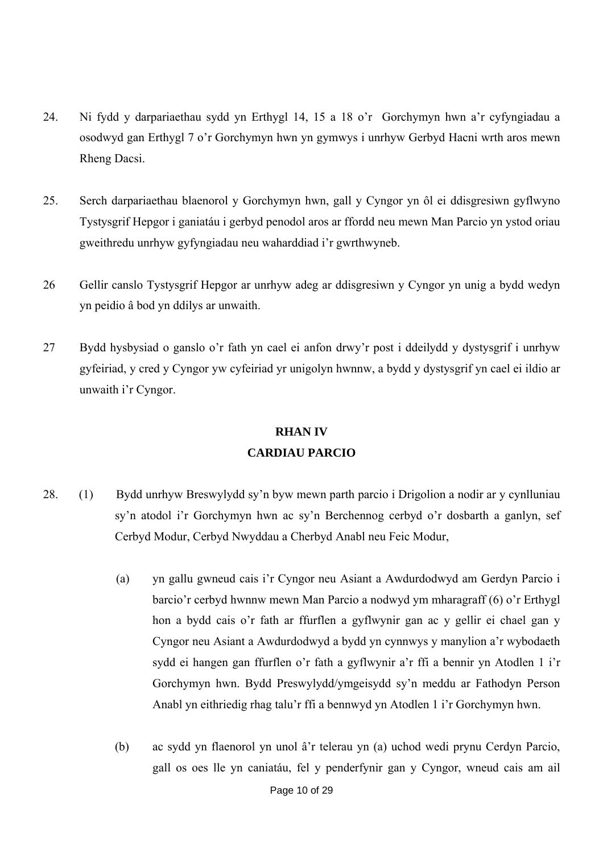- 24. Ni fydd y darpariaethau sydd yn Erthygl 14, 15 a 18 o'r Gorchymyn hwn a'r cyfyngiadau a osodwyd gan Erthygl 7 o'r Gorchymyn hwn yn gymwys i unrhyw Gerbyd Hacni wrth aros mewn Rheng Dacsi.
- 25. Serch darpariaethau blaenorol y Gorchymyn hwn, gall y Cyngor yn ôl ei ddisgresiwn gyflwyno Tystysgrif Hepgor i ganiatáu i gerbyd penodol aros ar ffordd neu mewn Man Parcio yn ystod oriau gweithredu unrhyw gyfyngiadau neu waharddiad i'r gwrthwyneb.
- 26 Gellir canslo Tystysgrif Hepgor ar unrhyw adeg ar ddisgresiwn y Cyngor yn unig a bydd wedyn yn peidio â bod yn ddilys ar unwaith.
- 27 Bydd hysbysiad o ganslo o'r fath yn cael ei anfon drwy'r post i ddeilydd y dystysgrif i unrhyw gyfeiriad, y cred y Cyngor yw cyfeiriad yr unigolyn hwnnw, a bydd y dystysgrif yn cael ei ildio ar unwaith i'r Cyngor.

## **RHAN IV CARDIAU PARCIO**

- 28. (1) Bydd unrhyw Breswylydd sy'n byw mewn parth parcio i Drigolion a nodir ar y cynlluniau sy'n atodol i'r Gorchymyn hwn ac sy'n Berchennog cerbyd o'r dosbarth a ganlyn, sef Cerbyd Modur, Cerbyd Nwyddau a Cherbyd Anabl neu Feic Modur,
	- (a) yn gallu gwneud cais i'r Cyngor neu Asiant a Awdurdodwyd am Gerdyn Parcio i barcio'r cerbyd hwnnw mewn Man Parcio a nodwyd ym mharagraff (6) o'r Erthygl hon a bydd cais o'r fath ar ffurflen a gyflwynir gan ac y gellir ei chael gan y Cyngor neu Asiant a Awdurdodwyd a bydd yn cynnwys y manylion a'r wybodaeth sydd ei hangen gan ffurflen o'r fath a gyflwynir a'r ffi a bennir yn Atodlen 1 i'r Gorchymyn hwn. Bydd Preswylydd/ymgeisydd sy'n meddu ar Fathodyn Person Anabl yn eithriedig rhag talu'r ffi a bennwyd yn Atodlen 1 i'r Gorchymyn hwn.
	- (b) ac sydd yn flaenorol yn unol â'r telerau yn (a) uchod wedi prynu Cerdyn Parcio, gall os oes lle yn caniatáu, fel y penderfynir gan y Cyngor, wneud cais am ail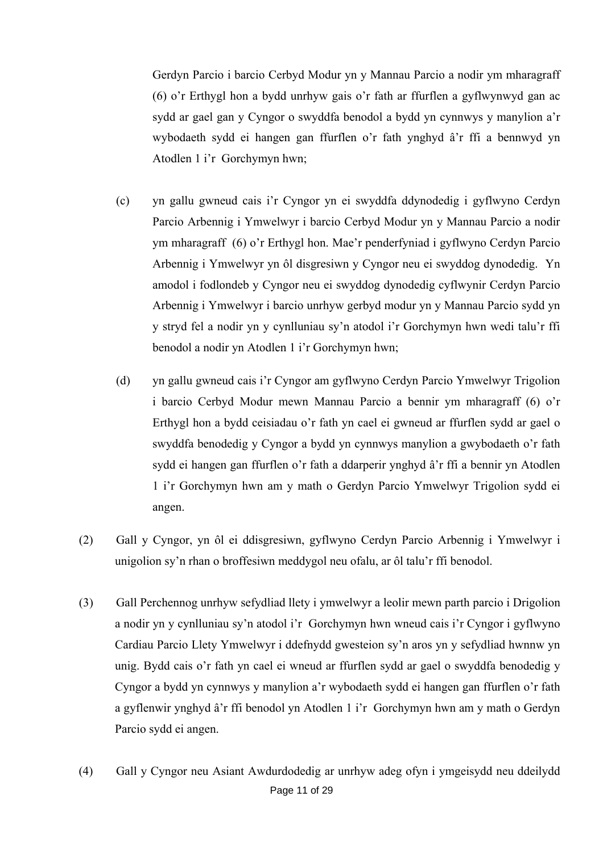Gerdyn Parcio i barcio Cerbyd Modur yn y Mannau Parcio a nodir ym mharagraff (6) o'r Erthygl hon a bydd unrhyw gais o'r fath ar ffurflen a gyflwynwyd gan ac sydd ar gael gan y Cyngor o swyddfa benodol a bydd yn cynnwys y manylion a'r wybodaeth sydd ei hangen gan ffurflen o'r fath ynghyd â'r ffi a bennwyd yn Atodlen 1 i'r Gorchymyn hwn;

- (c) yn gallu gwneud cais i'r Cyngor yn ei swyddfa ddynodedig i gyflwyno Cerdyn Parcio Arbennig i Ymwelwyr i barcio Cerbyd Modur yn y Mannau Parcio a nodir ym mharagraff (6) o'r Erthygl hon. Mae'r penderfyniad i gyflwyno Cerdyn Parcio Arbennig i Ymwelwyr yn ôl disgresiwn y Cyngor neu ei swyddog dynodedig. Yn amodol i fodlondeb y Cyngor neu ei swyddog dynodedig cyflwynir Cerdyn Parcio Arbennig i Ymwelwyr i barcio unrhyw gerbyd modur yn y Mannau Parcio sydd yn y stryd fel a nodir yn y cynlluniau sy'n atodol i'r Gorchymyn hwn wedi talu'r ffi benodol a nodir yn Atodlen 1 i'r Gorchymyn hwn;
- (d) yn gallu gwneud cais i'r Cyngor am gyflwyno Cerdyn Parcio Ymwelwyr Trigolion i barcio Cerbyd Modur mewn Mannau Parcio a bennir ym mharagraff (6) o'r Erthygl hon a bydd ceisiadau o'r fath yn cael ei gwneud ar ffurflen sydd ar gael o swyddfa benodedig y Cyngor a bydd yn cynnwys manylion a gwybodaeth o'r fath sydd ei hangen gan ffurflen o'r fath a ddarperir ynghyd â'r ffi a bennir yn Atodlen 1 i'r Gorchymyn hwn am y math o Gerdyn Parcio Ymwelwyr Trigolion sydd ei angen.
- (2) Gall y Cyngor, yn ôl ei ddisgresiwn, gyflwyno Cerdyn Parcio Arbennig i Ymwelwyr i unigolion sy'n rhan o broffesiwn meddygol neu ofalu, ar ôl talu'r ffi benodol.
- (3) Gall Perchennog unrhyw sefydliad llety i ymwelwyr a leolir mewn parth parcio i Drigolion a nodir yn y cynlluniau sy'n atodol i'r Gorchymyn hwn wneud cais i'r Cyngor i gyflwyno Cardiau Parcio Llety Ymwelwyr i ddefnydd gwesteion sy'n aros yn y sefydliad hwnnw yn unig. Bydd cais o'r fath yn cael ei wneud ar ffurflen sydd ar gael o swyddfa benodedig y Cyngor a bydd yn cynnwys y manylion a'r wybodaeth sydd ei hangen gan ffurflen o'r fath a gyflenwir ynghyd â'r ffi benodol yn Atodlen 1 i'r Gorchymyn hwn am y math o Gerdyn Parcio sydd ei angen.
- Page 11 of 29 (4) Gall y Cyngor neu Asiant Awdurdodedig ar unrhyw adeg ofyn i ymgeisydd neu ddeilydd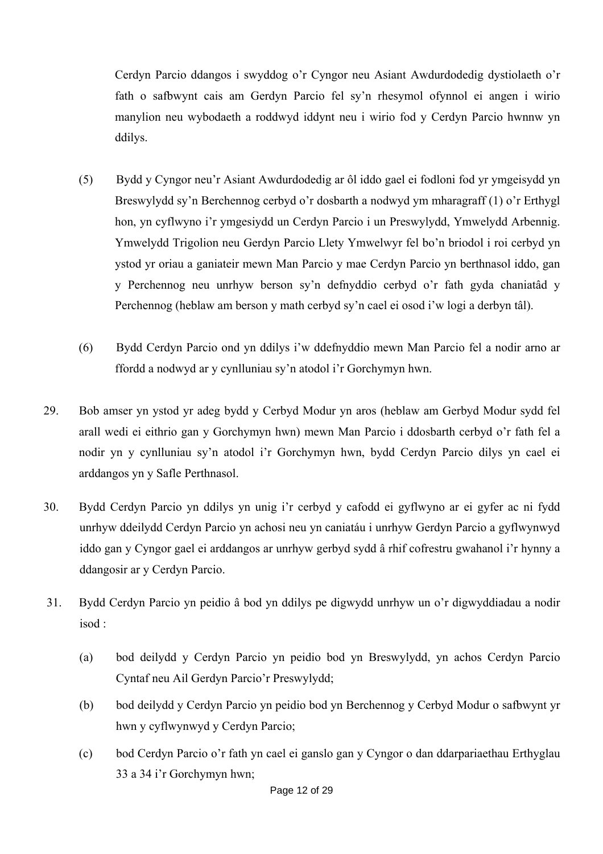Cerdyn Parcio ddangos i swyddog o'r Cyngor neu Asiant Awdurdodedig dystiolaeth o'r fath o safbwynt cais am Gerdyn Parcio fel sy'n rhesymol ofynnol ei angen i wirio manylion neu wybodaeth a roddwyd iddynt neu i wirio fod y Cerdyn Parcio hwnnw yn ddilys.

- (5) Bydd y Cyngor neu'r Asiant Awdurdodedig ar ôl iddo gael ei fodloni fod yr ymgeisydd yn Breswylydd sy'n Berchennog cerbyd o'r dosbarth a nodwyd ym mharagraff (1) o'r Erthygl hon, yn cyflwyno i'r ymgesiydd un Cerdyn Parcio i un Preswylydd, Ymwelydd Arbennig. Ymwelydd Trigolion neu Gerdyn Parcio Llety Ymwelwyr fel bo'n briodol i roi cerbyd yn ystod yr oriau a ganiateir mewn Man Parcio y mae Cerdyn Parcio yn berthnasol iddo, gan y Perchennog neu unrhyw berson sy'n defnyddio cerbyd o'r fath gyda chaniatâd y Perchennog (heblaw am berson y math cerbyd sy'n cael ei osod i'w logi a derbyn tâl).
- (6) Bydd Cerdyn Parcio ond yn ddilys i'w ddefnyddio mewn Man Parcio fel a nodir arno ar ffordd a nodwyd ar y cynlluniau sy'n atodol i'r Gorchymyn hwn.
- 29. Bob amser yn ystod yr adeg bydd y Cerbyd Modur yn aros (heblaw am Gerbyd Modur sydd fel arall wedi ei eithrio gan y Gorchymyn hwn) mewn Man Parcio i ddosbarth cerbyd o'r fath fel a nodir yn y cynlluniau sy'n atodol i'r Gorchymyn hwn, bydd Cerdyn Parcio dilys yn cael ei arddangos yn y Safle Perthnasol.
- 30. Bydd Cerdyn Parcio yn ddilys yn unig i'r cerbyd y cafodd ei gyflwyno ar ei gyfer ac ni fydd unrhyw ddeilydd Cerdyn Parcio yn achosi neu yn caniatáu i unrhyw Gerdyn Parcio a gyflwynwyd iddo gan y Cyngor gael ei arddangos ar unrhyw gerbyd sydd â rhif cofrestru gwahanol i'r hynny a ddangosir ar y Cerdyn Parcio.
- 31. Bydd Cerdyn Parcio yn peidio â bod yn ddilys pe digwydd unrhyw un o'r digwyddiadau a nodir isod :
	- (a) bod deilydd y Cerdyn Parcio yn peidio bod yn Breswylydd, yn achos Cerdyn Parcio Cyntaf neu Ail Gerdyn Parcio'r Preswylydd;
	- (b) bod deilydd y Cerdyn Parcio yn peidio bod yn Berchennog y Cerbyd Modur o safbwynt yr hwn y cyflwynwyd y Cerdyn Parcio;
	- (c) bod Cerdyn Parcio o'r fath yn cael ei ganslo gan y Cyngor o dan ddarpariaethau Erthyglau 33 a 34 i'r Gorchymyn hwn;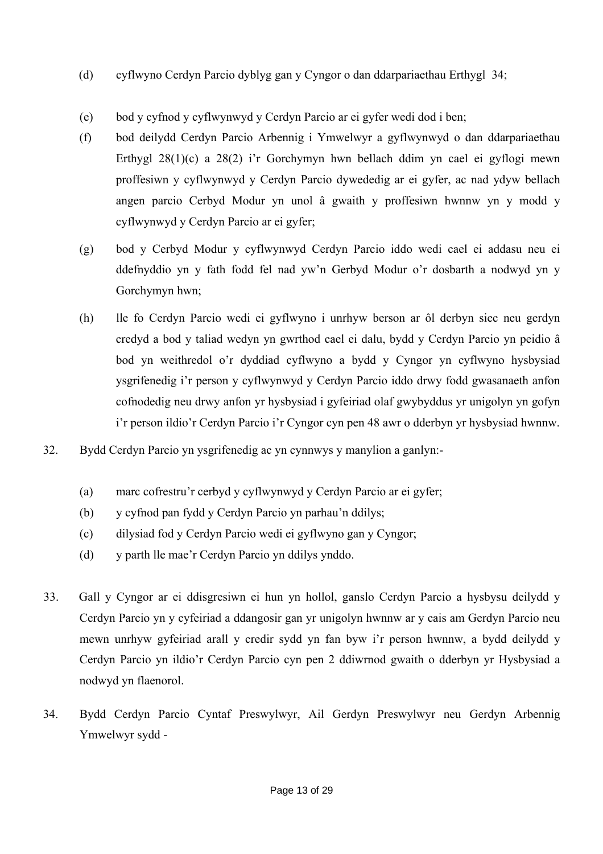- (d) cyflwyno Cerdyn Parcio dyblyg gan y Cyngor o dan ddarpariaethau Erthygl 34;
- (e) bod y cyfnod y cyflwynwyd y Cerdyn Parcio ar ei gyfer wedi dod i ben;
- (f) bod deilydd Cerdyn Parcio Arbennig i Ymwelwyr a gyflwynwyd o dan ddarpariaethau Erthygl 28(1)(c) a 28(2) i'r Gorchymyn hwn bellach ddim yn cael ei gyflogi mewn proffesiwn y cyflwynwyd y Cerdyn Parcio dywededig ar ei gyfer, ac nad ydyw bellach angen parcio Cerbyd Modur yn unol â gwaith y proffesiwn hwnnw yn y modd y cyflwynwyd y Cerdyn Parcio ar ei gyfer;
- (g) bod y Cerbyd Modur y cyflwynwyd Cerdyn Parcio iddo wedi cael ei addasu neu ei ddefnyddio yn y fath fodd fel nad yw'n Gerbyd Modur o'r dosbarth a nodwyd yn y Gorchymyn hwn;
- (h) lle fo Cerdyn Parcio wedi ei gyflwyno i unrhyw berson ar ôl derbyn siec neu gerdyn credyd a bod y taliad wedyn yn gwrthod cael ei dalu, bydd y Cerdyn Parcio yn peidio â bod yn weithredol o'r dyddiad cyflwyno a bydd y Cyngor yn cyflwyno hysbysiad ysgrifenedig i'r person y cyflwynwyd y Cerdyn Parcio iddo drwy fodd gwasanaeth anfon cofnodedig neu drwy anfon yr hysbysiad i gyfeiriad olaf gwybyddus yr unigolyn yn gofyn i'r person ildio'r Cerdyn Parcio i'r Cyngor cyn pen 48 awr o dderbyn yr hysbysiad hwnnw.
- 32. Bydd Cerdyn Parcio yn ysgrifenedig ac yn cynnwys y manylion a ganlyn:-
	- (a) marc cofrestru'r cerbyd y cyflwynwyd y Cerdyn Parcio ar ei gyfer;
	- (b) y cyfnod pan fydd y Cerdyn Parcio yn parhau'n ddilys;
	- (c) dilysiad fod y Cerdyn Parcio wedi ei gyflwyno gan y Cyngor;
	- (d) y parth lle mae'r Cerdyn Parcio yn ddilys ynddo.
- 33. Gall y Cyngor ar ei ddisgresiwn ei hun yn hollol, ganslo Cerdyn Parcio a hysbysu deilydd y Cerdyn Parcio yn y cyfeiriad a ddangosir gan yr unigolyn hwnnw ar y cais am Gerdyn Parcio neu mewn unrhyw gyfeiriad arall y credir sydd yn fan byw i'r person hwnnw, a bydd deilydd y Cerdyn Parcio yn ildio'r Cerdyn Parcio cyn pen 2 ddiwrnod gwaith o dderbyn yr Hysbysiad a nodwyd yn flaenorol.
- 34. Bydd Cerdyn Parcio Cyntaf Preswylwyr, Ail Gerdyn Preswylwyr neu Gerdyn Arbennig Ymwelwyr sydd -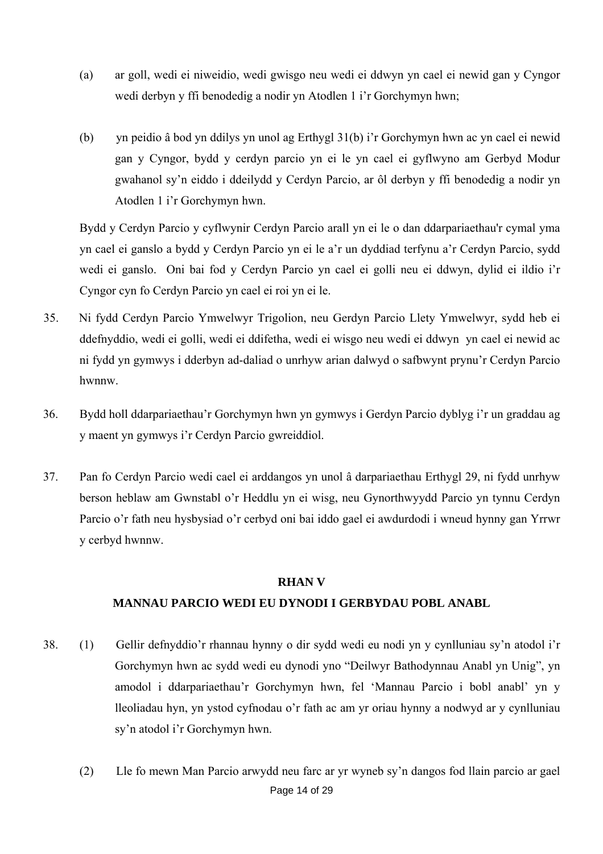- (a) ar goll, wedi ei niweidio, wedi gwisgo neu wedi ei ddwyn yn cael ei newid gan y Cyngor wedi derbyn y ffi benodedig a nodir yn Atodlen 1 i'r Gorchymyn hwn;
- (b) yn peidio â bod yn ddilys yn unol ag Erthygl 31(b) i'r Gorchymyn hwn ac yn cael ei newid gan y Cyngor, bydd y cerdyn parcio yn ei le yn cael ei gyflwyno am Gerbyd Modur gwahanol sy'n eiddo i ddeilydd y Cerdyn Parcio, ar ôl derbyn y ffi benodedig a nodir yn Atodlen 1 i'r Gorchymyn hwn.

Bydd y Cerdyn Parcio y cyflwynir Cerdyn Parcio arall yn ei le o dan ddarpariaethau'r cymal yma yn cael ei ganslo a bydd y Cerdyn Parcio yn ei le a'r un dyddiad terfynu a'r Cerdyn Parcio, sydd wedi ei ganslo. Oni bai fod y Cerdyn Parcio yn cael ei golli neu ei ddwyn, dylid ei ildio i'r Cyngor cyn fo Cerdyn Parcio yn cael ei roi yn ei le.

- 35. Ni fydd Cerdyn Parcio Ymwelwyr Trigolion, neu Gerdyn Parcio Llety Ymwelwyr, sydd heb ei ddefnyddio, wedi ei golli, wedi ei ddifetha, wedi ei wisgo neu wedi ei ddwyn yn cael ei newid ac ni fydd yn gymwys i dderbyn ad-daliad o unrhyw arian dalwyd o safbwynt prynu'r Cerdyn Parcio hwnnw.
- 36. Bydd holl ddarpariaethau'r Gorchymyn hwn yn gymwys i Gerdyn Parcio dyblyg i'r un graddau ag y maent yn gymwys i'r Cerdyn Parcio gwreiddiol.
- 37. Pan fo Cerdyn Parcio wedi cael ei arddangos yn unol â darpariaethau Erthygl 29, ni fydd unrhyw berson heblaw am Gwnstabl o'r Heddlu yn ei wisg, neu Gynorthwyydd Parcio yn tynnu Cerdyn Parcio o'r fath neu hysbysiad o'r cerbyd oni bai iddo gael ei awdurdodi i wneud hynny gan Yrrwr y cerbyd hwnnw.

#### **RHAN V**

## **MANNAU PARCIO WEDI EU DYNODI I GERBYDAU POBL ANABL**

- 38. (1) Gellir defnyddio'r rhannau hynny o dir sydd wedi eu nodi yn y cynlluniau sy'n atodol i'r Gorchymyn hwn ac sydd wedi eu dynodi yno "Deilwyr Bathodynnau Anabl yn Unig", yn amodol i ddarpariaethau'r Gorchymyn hwn, fel 'Mannau Parcio i bobl anabl' yn y lleoliadau hyn, yn ystod cyfnodau o'r fath ac am yr oriau hynny a nodwyd ar y cynlluniau sy'n atodol i'r Gorchymyn hwn.
	- Page 14 of 29 (2) Lle fo mewn Man Parcio arwydd neu farc ar yr wyneb sy'n dangos fod llain parcio ar gael